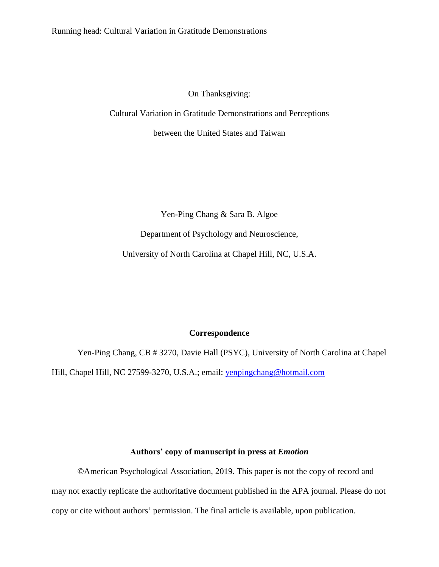On Thanksgiving:

Cultural Variation in Gratitude Demonstrations and Perceptions

between the United States and Taiwan

Yen-Ping Chang & Sara B. Algoe

Department of Psychology and Neuroscience,

University of North Carolina at Chapel Hill, NC, U.S.A.

### **Correspondence**

Yen-Ping Chang, CB # 3270, Davie Hall (PSYC), University of North Carolina at Chapel Hill, Chapel Hill, NC 27599-3270, U.S.A.; email: [yenpingchang@hotmail.com](mailto:yenpingchang@hotmail.com)

### **Authors' copy of manuscript in press at** *Emotion*

© American Psychological Association, 2019. This paper is not the copy of record and may not exactly replicate the authoritative document published in the APA journal. Please do not copy or cite without authors' permission. The final article is available, upon publication.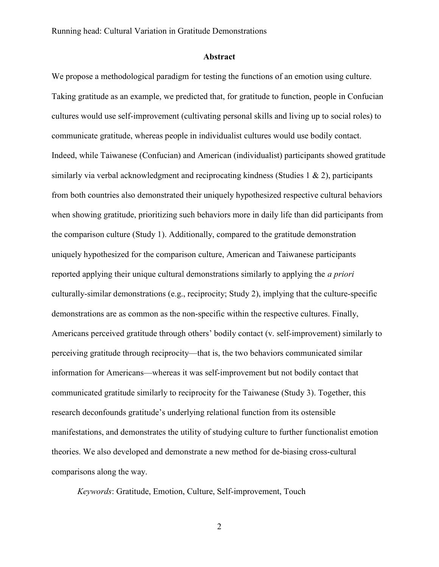### Abstract

We propose a methodological paradigm for testing the functions of an emotion using culture. Taking gratitude as an example, we predicted that, for gratitude to function, people in Confucian cultures would use self-improvement (cultivating personal skills and living up to social roles) to communicate gratitude, whereas people in individualist cultures would use bodily contact. Indeed, while Taiwanese (Confucian) and American (individualist) participants showed gratitude similarly via verbal acknowledgment and reciprocating kindness (Studies 1  $\&$  2), participants from both countries also demonstrated their uniquely hypothesized respective cultural behaviors when showing gratitude, prioritizing such behaviors more in daily life than did participants from the comparison culture (Study 1). Additionally, compared to the gratitude demonstration uniquely hypothesized for the comparison culture, American and Taiwanese participants reported applying their unique cultural demonstrations similarly to applying the *a priori* culturally-similar demonstrations (e.g., reciprocity; Study 2), implying that the culture-specific demonstrations are as common as the non-specific within the respective cultures. Finally, Americans perceived gratitude through others' bodily contact (v. self-improvement) similarly to perceiving gratitude through reciprocity—that is, the two behaviors communicated similar information for Americans—whereas it was self-improvement but not bodily contact that communicated gratitude similarly to reciprocity for the Taiwanese (Study 3). Together, this research deconfounds gratitude's underlying relational function from its ostensible manifestations, and demonstrates the utility of studying culture to further functionalist emotion theories. We also developed and demonstrate a new method for de-biasing cross-cultural comparisons along the way.

Keywords: Gratitude, Emotion, Culture, Self-improvement, Touch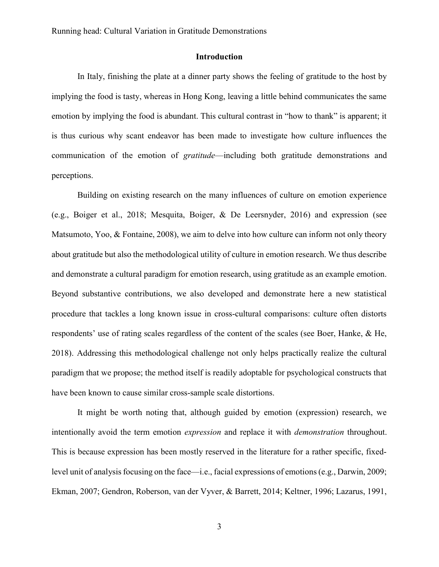### Introduction

In Italy, finishing the plate at a dinner party shows the feeling of gratitude to the host by implying the food is tasty, whereas in Hong Kong, leaving a little behind communicates the same emotion by implying the food is abundant. This cultural contrast in "how to thank" is apparent; it is thus curious why scant endeavor has been made to investigate how culture influences the communication of the emotion of *gratitude*—including both gratitude demonstrations and perceptions.

Building on existing research on the many influences of culture on emotion experience (e.g., Boiger et al., 2018; Mesquita, Boiger, & De Leersnyder, 2016) and expression (see Matsumoto, Yoo, & Fontaine, 2008), we aim to delve into how culture can inform not only theory about gratitude but also the methodological utility of culture in emotion research. We thus describe and demonstrate a cultural paradigm for emotion research, using gratitude as an example emotion. Beyond substantive contributions, we also developed and demonstrate here a new statistical procedure that tackles a long known issue in cross-cultural comparisons: culture often distorts respondents' use of rating scales regardless of the content of the scales (see Boer, Hanke, & He, 2018). Addressing this methodological challenge not only helps practically realize the cultural paradigm that we propose; the method itself is readily adoptable for psychological constructs that have been known to cause similar cross-sample scale distortions.

It might be worth noting that, although guided by emotion (expression) research, we intentionally avoid the term emotion expression and replace it with demonstration throughout. This is because expression has been mostly reserved in the literature for a rather specific, fixedlevel unit of analysis focusing on the face—i.e., facial expressions of emotions (e.g., Darwin, 2009; Ekman, 2007; Gendron, Roberson, van der Vyver, & Barrett, 2014; Keltner, 1996; Lazarus, 1991,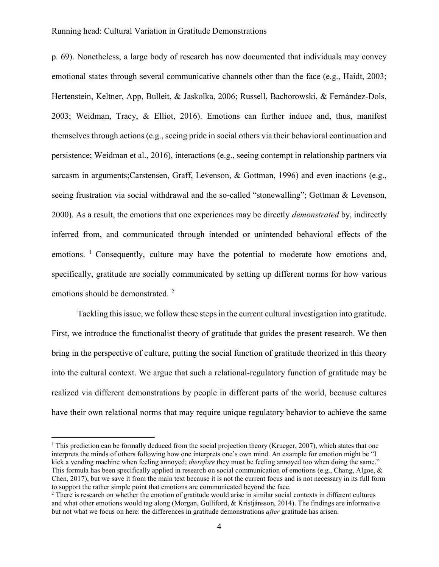p. 69). Nonetheless, a large body of research has now documented that individuals may convey emotional states through several communicative channels other than the face (e.g., Haidt, 2003; Hertenstein, Keltner, App, Bulleit, & Jaskolka, 2006; Russell, Bachorowski, & Fernández-Dols, 2003; Weidman, Tracy, & Elliot, 2016). Emotions can further induce and, thus, manifest themselves through actions (e.g., seeing pride in social others via their behavioral continuation and persistence; Weidman et al., 2016), interactions (e.g., seeing contempt in relationship partners via sarcasm in arguments;Carstensen, Graff, Levenson, & Gottman, 1996) and even inactions (e.g., seeing frustration via social withdrawal and the so-called "stonewalling"; Gottman & Levenson, 2000). As a result, the emotions that one experiences may be directly demonstrated by, indirectly inferred from, and communicated through intended or unintended behavioral effects of the emotions. <sup>1</sup> Consequently, culture may have the potential to moderate how emotions and, specifically, gratitude are socially communicated by setting up different norms for how various emotions should be demonstrated.<sup>2</sup>

Tackling this issue, we follow these steps in the current cultural investigation into gratitude. First, we introduce the functionalist theory of gratitude that guides the present research. We then bring in the perspective of culture, putting the social function of gratitude theorized in this theory into the cultural context. We argue that such a relational-regulatory function of gratitude may be realized via different demonstrations by people in different parts of the world, because cultures have their own relational norms that may require unique regulatory behavior to achieve the same

 $\overline{a}$ 

<sup>&</sup>lt;sup>1</sup> This prediction can be formally deduced from the social projection theory (Krueger, 2007), which states that one interprets the minds of others following how one interprets one's own mind. An example for emotion might be "I kick a vending machine when feeling annoyed; therefore they must be feeling annoyed too when doing the same." This formula has been specifically applied in research on social communication of emotions (e.g., Chang, Algoe,  $\&$ Chen, 2017), but we save it from the main text because it is not the current focus and is not necessary in its full form to support the rather simple point that emotions are communicated beyond the face.

<sup>&</sup>lt;sup>2</sup> There is research on whether the emotion of gratitude would arise in similar social contexts in different cultures and what other emotions would tag along (Morgan, Gulliford, & Kristjánsson, 2014). The findings are informative but not what we focus on here: the differences in gratitude demonstrations *after* gratitude has arisen.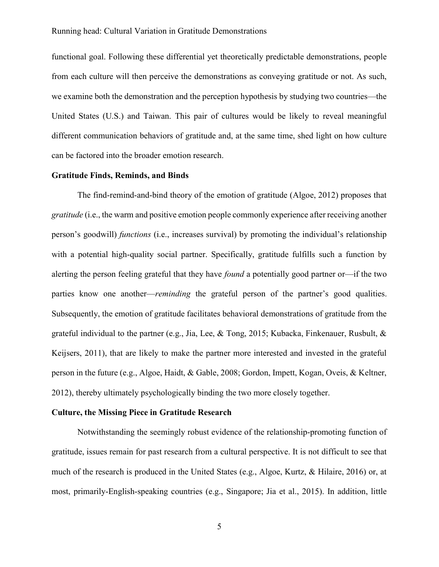functional goal. Following these differential yet theoretically predictable demonstrations, people from each culture will then perceive the demonstrations as conveying gratitude or not. As such, we examine both the demonstration and the perception hypothesis by studying two countries—the United States (U.S.) and Taiwan. This pair of cultures would be likely to reveal meaningful different communication behaviors of gratitude and, at the same time, shed light on how culture can be factored into the broader emotion research.

### Gratitude Finds, Reminds, and Binds

The find-remind-and-bind theory of the emotion of gratitude (Algoe, 2012) proposes that gratitude (i.e., the warm and positive emotion people commonly experience after receiving another person's goodwill) functions (i.e., increases survival) by promoting the individual's relationship with a potential high-quality social partner. Specifically, gratitude fulfills such a function by alerting the person feeling grateful that they have *found* a potentially good partner or—if the two parties know one another—*reminding* the grateful person of the partner's good qualities. Subsequently, the emotion of gratitude facilitates behavioral demonstrations of gratitude from the grateful individual to the partner (e.g., Jia, Lee, & Tong, 2015; Kubacka, Finkenauer, Rusbult, & Keijsers, 2011), that are likely to make the partner more interested and invested in the grateful person in the future (e.g., Algoe, Haidt, & Gable, 2008; Gordon, Impett, Kogan, Oveis, & Keltner, 2012), thereby ultimately psychologically binding the two more closely together.

#### Culture, the Missing Piece in Gratitude Research

Notwithstanding the seemingly robust evidence of the relationship-promoting function of gratitude, issues remain for past research from a cultural perspective. It is not difficult to see that much of the research is produced in the United States (e.g., Algoe, Kurtz, & Hilaire, 2016) or, at most, primarily-English-speaking countries (e.g., Singapore; Jia et al., 2015). In addition, little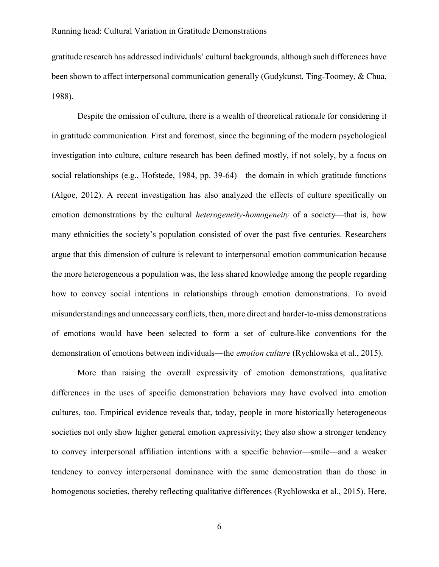gratitude research has addressed individuals' cultural backgrounds, although such differences have been shown to affect interpersonal communication generally (Gudykunst, Ting-Toomey, & Chua, 1988).

Despite the omission of culture, there is a wealth of theoretical rationale for considering it in gratitude communication. First and foremost, since the beginning of the modern psychological investigation into culture, culture research has been defined mostly, if not solely, by a focus on social relationships (e.g., Hofstede, 1984, pp. 39-64)—the domain in which gratitude functions (Algoe, 2012). A recent investigation has also analyzed the effects of culture specifically on emotion demonstrations by the cultural *heterogeneity-homogeneity* of a society—that is, how many ethnicities the society's population consisted of over the past five centuries. Researchers argue that this dimension of culture is relevant to interpersonal emotion communication because the more heterogeneous a population was, the less shared knowledge among the people regarding how to convey social intentions in relationships through emotion demonstrations. To avoid misunderstandings and unnecessary conflicts, then, more direct and harder-to-miss demonstrations of emotions would have been selected to form a set of culture-like conventions for the demonstration of emotions between individuals—the *emotion culture* (Rychlowska et al., 2015).

More than raising the overall expressivity of emotion demonstrations, qualitative differences in the uses of specific demonstration behaviors may have evolved into emotion cultures, too. Empirical evidence reveals that, today, people in more historically heterogeneous societies not only show higher general emotion expressivity; they also show a stronger tendency to convey interpersonal affiliation intentions with a specific behavior—smile—and a weaker tendency to convey interpersonal dominance with the same demonstration than do those in homogenous societies, thereby reflecting qualitative differences (Rychlowska et al., 2015). Here,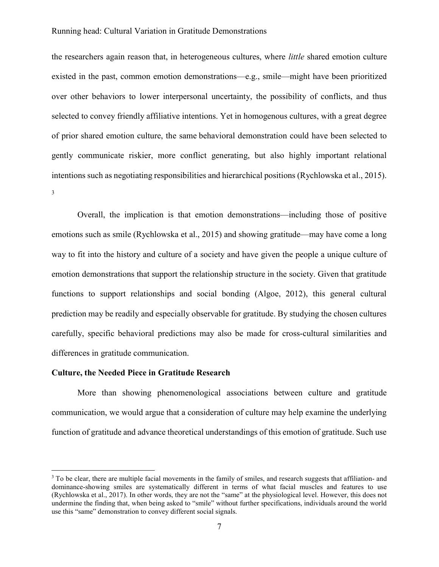the researchers again reason that, in heterogeneous cultures, where *little* shared emotion culture existed in the past, common emotion demonstrations—e.g., smile—might have been prioritized over other behaviors to lower interpersonal uncertainty, the possibility of conflicts, and thus selected to convey friendly affiliative intentions. Yet in homogenous cultures, with a great degree of prior shared emotion culture, the same behavioral demonstration could have been selected to gently communicate riskier, more conflict generating, but also highly important relational intentions such as negotiating responsibilities and hierarchical positions (Rychlowska et al., 2015). 3

Overall, the implication is that emotion demonstrations—including those of positive emotions such as smile (Rychlowska et al., 2015) and showing gratitude—may have come a long way to fit into the history and culture of a society and have given the people a unique culture of emotion demonstrations that support the relationship structure in the society. Given that gratitude functions to support relationships and social bonding (Algoe, 2012), this general cultural prediction may be readily and especially observable for gratitude. By studying the chosen cultures carefully, specific behavioral predictions may also be made for cross-cultural similarities and differences in gratitude communication.

### Culture, the Needed Piece in Gratitude Research

 $\overline{a}$ 

More than showing phenomenological associations between culture and gratitude communication, we would argue that a consideration of culture may help examine the underlying function of gratitude and advance theoretical understandings of this emotion of gratitude. Such use

<sup>&</sup>lt;sup>3</sup> To be clear, there are multiple facial movements in the family of smiles, and research suggests that affiliation- and dominance-showing smiles are systematically different in terms of what facial muscles and features to use (Rychlowska et al., 2017). In other words, they are not the "same" at the physiological level. However, this does not undermine the finding that, when being asked to "smile" without further specifications, individuals around the world use this "same" demonstration to convey different social signals.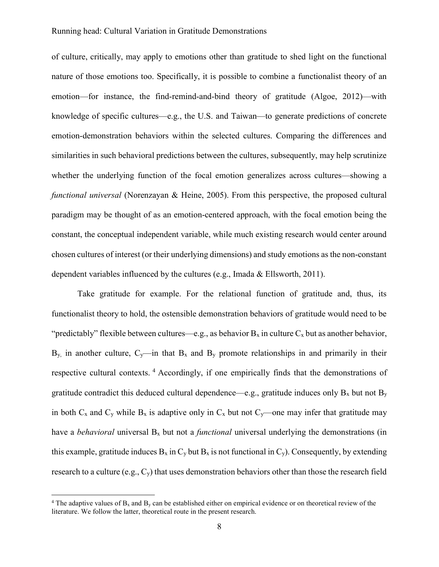of culture, critically, may apply to emotions other than gratitude to shed light on the functional nature of those emotions too. Specifically, it is possible to combine a functionalist theory of an emotion—for instance, the find-remind-and-bind theory of gratitude (Algoe, 2012)—with knowledge of specific cultures—e.g., the U.S. and Taiwan—to generate predictions of concrete emotion-demonstration behaviors within the selected cultures. Comparing the differences and similarities in such behavioral predictions between the cultures, subsequently, may help scrutinize whether the underlying function of the focal emotion generalizes across cultures—showing a functional universal (Norenzayan & Heine, 2005). From this perspective, the proposed cultural paradigm may be thought of as an emotion-centered approach, with the focal emotion being the constant, the conceptual independent variable, while much existing research would center around chosen cultures of interest (or their underlying dimensions) and study emotions as the non-constant dependent variables influenced by the cultures (e.g., Imada & Ellsworth, 2011).

Take gratitude for example. For the relational function of gratitude and, thus, its functionalist theory to hold, the ostensible demonstration behaviors of gratitude would need to be "predictably" flexible between cultures—e.g., as behavior  $B_x$  in culture  $C_x$  but as another behavior,  $B_y$  in another culture,  $C_y$ —in that  $B_x$  and  $B_y$  promote relationships in and primarily in their respective cultural contexts. <sup>4</sup> Accordingly, if one empirically finds that the demonstrations of gratitude contradict this deduced cultural dependence—e.g., gratitude induces only  $B_x$  but not  $B_y$ in both  $C_x$  and  $C_y$  while  $B_x$  is adaptive only in  $C_x$  but not  $C_y$ —one may infer that gratitude may have a *behavioral* universal  $B_x$  but not a *functional* universal underlying the demonstrations (in this example, gratitude induces  $B_x$  in  $C_y$  but  $B_x$  is not functional in  $C_y$ ). Consequently, by extending research to a culture (e.g.,  $C_y$ ) that uses demonstration behaviors other than those the research field

 $\overline{a}$ 

<sup>&</sup>lt;sup>4</sup> The adaptive values of  $B_x$  and  $B_y$  can be established either on empirical evidence or on theoretical review of the literature. We follow the latter, theoretical route in the present research.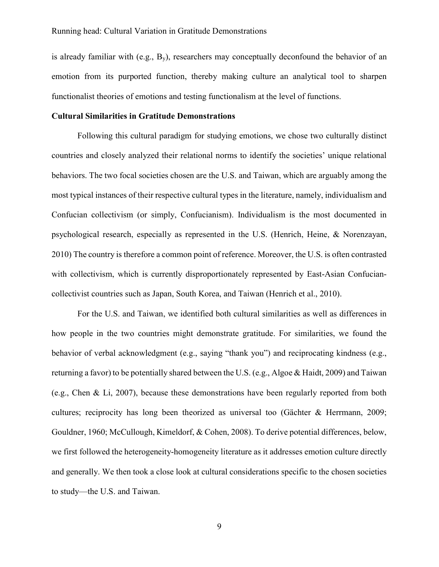is already familiar with (e.g.,  $B_y$ ), researchers may conceptually deconfound the behavior of an emotion from its purported function, thereby making culture an analytical tool to sharpen functionalist theories of emotions and testing functionalism at the level of functions.

### Cultural Similarities in Gratitude Demonstrations

Following this cultural paradigm for studying emotions, we chose two culturally distinct countries and closely analyzed their relational norms to identify the societies' unique relational behaviors. The two focal societies chosen are the U.S. and Taiwan, which are arguably among the most typical instances of their respective cultural types in the literature, namely, individualism and Confucian collectivism (or simply, Confucianism). Individualism is the most documented in psychological research, especially as represented in the U.S. (Henrich, Heine, & Norenzayan, 2010) The country is therefore a common point of reference. Moreover, the U.S. is often contrasted with collectivism, which is currently disproportionately represented by East-Asian Confuciancollectivist countries such as Japan, South Korea, and Taiwan (Henrich et al., 2010).

For the U.S. and Taiwan, we identified both cultural similarities as well as differences in how people in the two countries might demonstrate gratitude. For similarities, we found the behavior of verbal acknowledgment (e.g., saying "thank you") and reciprocating kindness (e.g., returning a favor) to be potentially shared between the U.S. (e.g., Algoe & Haidt, 2009) and Taiwan (e.g., Chen & Li, 2007), because these demonstrations have been regularly reported from both cultures; reciprocity has long been theorized as universal too (Gächter & Herrmann, 2009; Gouldner, 1960; McCullough, Kimeldorf, & Cohen, 2008). To derive potential differences, below, we first followed the heterogeneity-homogeneity literature as it addresses emotion culture directly and generally. We then took a close look at cultural considerations specific to the chosen societies to study—the U.S. and Taiwan.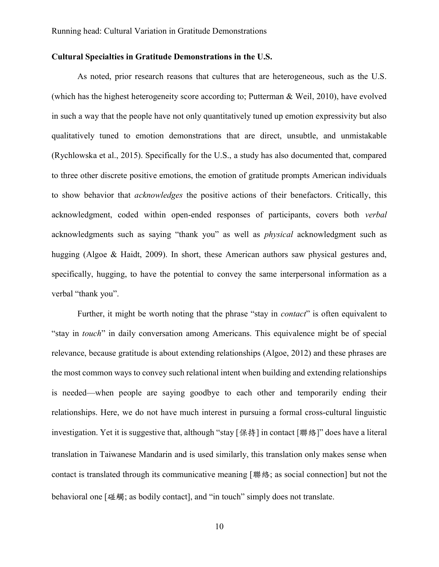### Cultural Specialties in Gratitude Demonstrations in the U.S.

As noted, prior research reasons that cultures that are heterogeneous, such as the U.S. (which has the highest heterogeneity score according to; Putterman & Weil, 2010), have evolved in such a way that the people have not only quantitatively tuned up emotion expressivity but also qualitatively tuned to emotion demonstrations that are direct, unsubtle, and unmistakable (Rychlowska et al., 2015). Specifically for the U.S., a study has also documented that, compared to three other discrete positive emotions, the emotion of gratitude prompts American individuals to show behavior that acknowledges the positive actions of their benefactors. Critically, this acknowledgment, coded within open-ended responses of participants, covers both verbal acknowledgments such as saying "thank you" as well as physical acknowledgment such as hugging (Algoe & Haidt, 2009). In short, these American authors saw physical gestures and, specifically, hugging, to have the potential to convey the same interpersonal information as a verbal "thank you".

Further, it might be worth noting that the phrase "stay in *contact*" is often equivalent to "stay in touch" in daily conversation among Americans. This equivalence might be of special relevance, because gratitude is about extending relationships (Algoe, 2012) and these phrases are the most common ways to convey such relational intent when building and extending relationships is needed—when people are saying goodbye to each other and temporarily ending their relationships. Here, we do not have much interest in pursuing a formal cross-cultural linguistic investigation. Yet it is suggestive that, although "stay [保持] in contact [聯絡]" does have a literal translation in Taiwanese Mandarin and is used similarly, this translation only makes sense when contact is translated through its communicative meaning [聯絡; as social connection] but not the behavioral one [碰觸; as bodily contact], and "in touch" simply does not translate.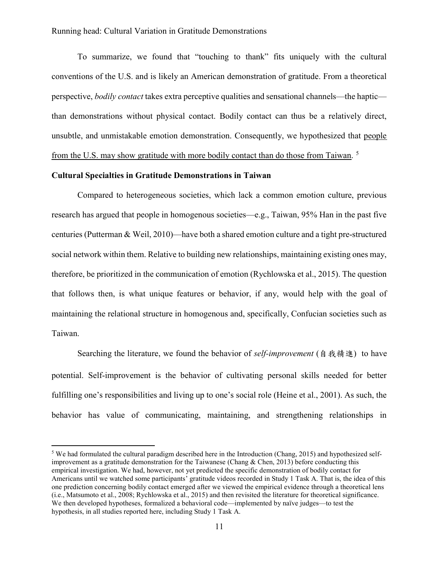To summarize, we found that "touching to thank" fits uniquely with the cultural conventions of the U.S. and is likely an American demonstration of gratitude. From a theoretical perspective, *bodily contact* takes extra perceptive qualities and sensational channels—the haptic than demonstrations without physical contact. Bodily contact can thus be a relatively direct, unsubtle, and unmistakable emotion demonstration. Consequently, we hypothesized that people from the U.S. may show gratitude with more bodily contact than do those from Taiwan. <sup>5</sup>

## Cultural Specialties in Gratitude Demonstrations in Taiwan

 $\overline{a}$ 

Compared to heterogeneous societies, which lack a common emotion culture, previous research has argued that people in homogenous societies—e.g., Taiwan, 95% Han in the past five centuries (Putterman & Weil, 2010)—have both a shared emotion culture and a tight pre-structured social network within them. Relative to building new relationships, maintaining existing ones may, therefore, be prioritized in the communication of emotion (Rychlowska et al., 2015). The question that follows then, is what unique features or behavior, if any, would help with the goal of maintaining the relational structure in homogenous and, specifically, Confucian societies such as Taiwan.

Searching the literature, we found the behavior of *self-improvement* (自我精進) to have potential. Self-improvement is the behavior of cultivating personal skills needed for better fulfilling one's responsibilities and living up to one's social role (Heine et al., 2001). As such, the behavior has value of communicating, maintaining, and strengthening relationships in

<sup>&</sup>lt;sup>5</sup> We had formulated the cultural paradigm described here in the Introduction (Chang, 2015) and hypothesized selfimprovement as a gratitude demonstration for the Taiwanese (Chang & Chen, 2013) before conducting this empirical investigation. We had, however, not yet predicted the specific demonstration of bodily contact for Americans until we watched some participants' gratitude videos recorded in Study 1 Task A. That is, the idea of this one prediction concerning bodily contact emerged after we viewed the empirical evidence through a theoretical lens (i.e., Matsumoto et al., 2008; Rychlowska et al., 2015) and then revisited the literature for theoretical significance. We then developed hypotheses, formalized a behavioral code—implemented by naïve judges—to test the hypothesis, in all studies reported here, including Study 1 Task A.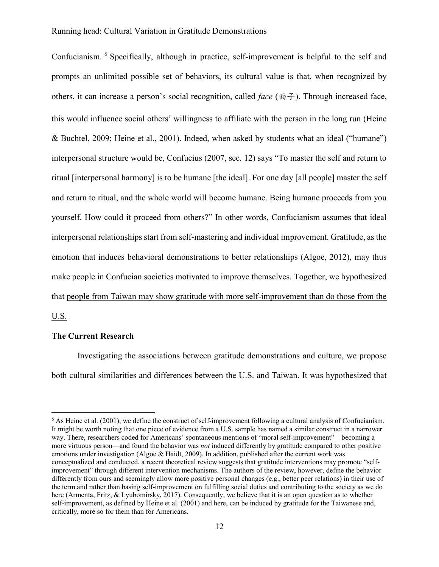Confucianism. <sup>6</sup> Specifically, although in practice, self-improvement is helpful to the self and prompts an unlimited possible set of behaviors, its cultural value is that, when recognized by others, it can increase a person's social recognition, called *face* ( $\mathbf{\bar{m}}$  $\mathbf{\hat{\pm}}$ ). Through increased face, this would influence social others' willingness to affiliate with the person in the long run (Heine & Buchtel, 2009; Heine et al., 2001). Indeed, when asked by students what an ideal ("humane") interpersonal structure would be, Confucius (2007, sec. 12) says "To master the self and return to ritual [interpersonal harmony] is to be humane [the ideal]. For one day [all people] master the self and return to ritual, and the whole world will become humane. Being humane proceeds from you yourself. How could it proceed from others?" In other words, Confucianism assumes that ideal interpersonal relationships start from self-mastering and individual improvement. Gratitude, as the emotion that induces behavioral demonstrations to better relationships (Algoe, 2012), may thus make people in Confucian societies motivated to improve themselves. Together, we hypothesized that people from Taiwan may show gratitude with more self-improvement than do those from the U.S.

### The Current Research

 $\overline{a}$ 

Investigating the associations between gratitude demonstrations and culture, we propose both cultural similarities and differences between the U.S. and Taiwan. It was hypothesized that

 $6$  As Heine et al. (2001), we define the construct of self-improvement following a cultural analysis of Confucianism. It might be worth noting that one piece of evidence from a U.S. sample has named a similar construct in a narrower way. There, researchers coded for Americans' spontaneous mentions of "moral self-improvement"—becoming a more virtuous person—and found the behavior was *not* induced differently by gratitude compared to other positive emotions under investigation (Algoe & Haidt, 2009). In addition, published after the current work was conceptualized and conducted, a recent theoretical review suggests that gratitude interventions may promote "selfimprovement" through different intervention mechanisms. The authors of the review, however, define the behavior differently from ours and seemingly allow more positive personal changes (e.g., better peer relations) in their use of the term and rather than basing self-improvement on fulfilling social duties and contributing to the society as we do here (Armenta, Fritz, & Lyubomirsky, 2017). Consequently, we believe that it is an open question as to whether self-improvement, as defined by Heine et al. (2001) and here, can be induced by gratitude for the Taiwanese and, critically, more so for them than for Americans.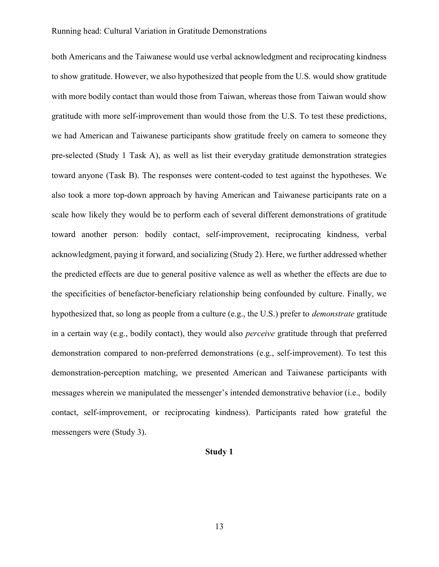both Americans and the Taiwanese would use verbal acknowledgment and reciprocating kindness to show gratitude. However, we also hypothesized that people from the U.S. would show gratitude with more bodily contact than would those from Taiwan, whereas those from Taiwan would show gratitude with more self-improvement than would those from the U.S. To test these predictions, we had American and Taiwanese participants show gratitude freely on camera to someone they pre-selected (Study 1 Task A), as well as list their everyday gratitude demonstration strategies toward anyone (Task B). The responses were content-coded to test against the hypotheses. We also took a more top-down approach by having American and Taiwanese participants rate on a scale how likely they would be to perform each of several different demonstrations of gratitude toward another person: bodily contact, self-improvement, reciprocating kindness, verbal acknowledgment, paying it forward, and socializing (Study 2). Here, we further addressed whether the predicted effects are due to general positive valence as well as whether the effects are due to the specificities of benefactor-beneficiary relationship being confounded by culture. Finally, we hypothesized that, so long as people from a culture (e.g., the U.S.) prefer to demonstrate gratitude in a certain way (e.g., bodily contact), they would also *perceive* gratitude through that preferred demonstration compared to non-preferred demonstrations (e.g., self-improvement). To test this demonstration-perception matching, we presented American and Taiwanese participants with messages wherein we manipulated the messenger's intended demonstrative behavior (i.e., bodily contact, self-improvement, or reciprocating kindness). Participants rated how grateful the messengers were (Study 3).

### Study 1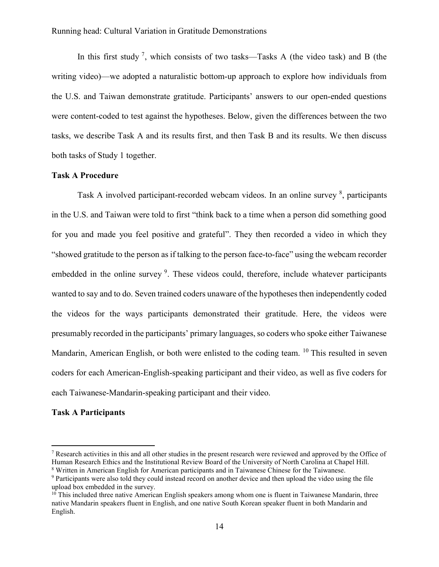In this first study<sup>7</sup>, which consists of two tasks—Tasks A (the video task) and B (the writing video)—we adopted a naturalistic bottom-up approach to explore how individuals from the U.S. and Taiwan demonstrate gratitude. Participants' answers to our open-ended questions were content-coded to test against the hypotheses. Below, given the differences between the two tasks, we describe Task A and its results first, and then Task B and its results. We then discuss both tasks of Study 1 together.

### Task A Procedure

Task A involved participant-recorded webcam videos. In an online survey <sup>8</sup>, participants in the U.S. and Taiwan were told to first "think back to a time when a person did something good for you and made you feel positive and grateful". They then recorded a video in which they "showed gratitude to the person as if talking to the person face-to-face" using the webcam recorder embedded in the online survey<sup>9</sup>. These videos could, therefore, include whatever participants wanted to say and to do. Seven trained coders unaware of the hypotheses then independently coded the videos for the ways participants demonstrated their gratitude. Here, the videos were presumably recorded in the participants' primary languages, so coders who spoke either Taiwanese Mandarin, American English, or both were enlisted to the coding team. <sup>10</sup> This resulted in seven coders for each American-English-speaking participant and their video, as well as five coders for each Taiwanese-Mandarin-speaking participant and their video.

### Task A Participants

 $\overline{a}$ 

<sup>&</sup>lt;sup>7</sup> Research activities in this and all other studies in the present research were reviewed and approved by the Office of Human Research Ethics and the Institutional Review Board of the University of North Carolina at Chapel Hill. <sup>8</sup> Written in American English for American participants and in Taiwanese Chinese for the Taiwanese.

<sup>&</sup>lt;sup>9</sup> Participants were also told they could instead record on another device and then upload the video using the file upload box embedded in the survey.

 $10$  This included three native American English speakers among whom one is fluent in Taiwanese Mandarin, three native Mandarin speakers fluent in English, and one native South Korean speaker fluent in both Mandarin and English.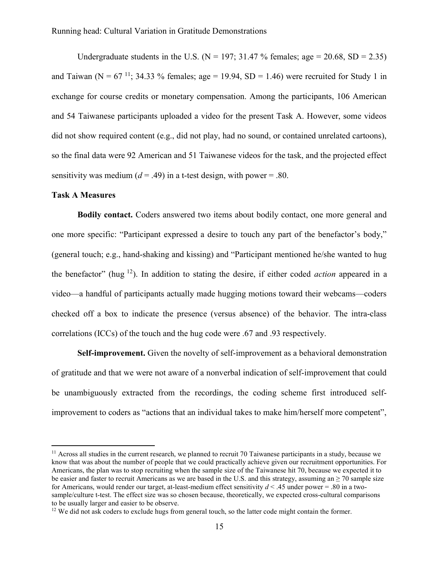Undergraduate students in the U.S. ( $N = 197$ ; 31.47 % females; age = 20.68, SD = 2.35) and Taiwan (N =  $67^{11}$ ; 34.33 % females; age = 19.94, SD = 1.46) were recruited for Study 1 in exchange for course credits or monetary compensation. Among the participants, 106 American and 54 Taiwanese participants uploaded a video for the present Task A. However, some videos did not show required content (e.g., did not play, had no sound, or contained unrelated cartoons), so the final data were 92 American and 51 Taiwanese videos for the task, and the projected effect sensitivity was medium ( $d = .49$ ) in a t-test design, with power = .80.

#### Task A Measures

 $\overline{a}$ 

Bodily contact. Coders answered two items about bodily contact, one more general and one more specific: "Participant expressed a desire to touch any part of the benefactor's body," (general touch; e.g., hand-shaking and kissing) and "Participant mentioned he/she wanted to hug the benefactor" (hug  $^{12}$ ). In addition to stating the desire, if either coded *action* appeared in a video—a handful of participants actually made hugging motions toward their webcams—coders checked off a box to indicate the presence (versus absence) of the behavior. The intra-class correlations (ICCs) of the touch and the hug code were .67 and .93 respectively.

Self-improvement. Given the novelty of self-improvement as a behavioral demonstration of gratitude and that we were not aware of a nonverbal indication of self-improvement that could be unambiguously extracted from the recordings, the coding scheme first introduced selfimprovement to coders as "actions that an individual takes to make him/herself more competent",

 $11$  Across all studies in the current research, we planned to recruit 70 Taiwanese participants in a study, because we know that was about the number of people that we could practically achieve given our recruitment opportunities. For Americans, the plan was to stop recruiting when the sample size of the Taiwanese hit 70, because we expected it to be easier and faster to recruit Americans as we are based in the U.S. and this strategy, assuming an  $\geq$  70 sample size for Americans, would render our target, at-least-medium effect sensitivity  $d < .45$  under power = .80 in a twosample/culture t-test. The effect size was so chosen because, theoretically, we expected cross-cultural comparisons to be usually larger and easier to be observe.

 $12$  We did not ask coders to exclude hugs from general touch, so the latter code might contain the former.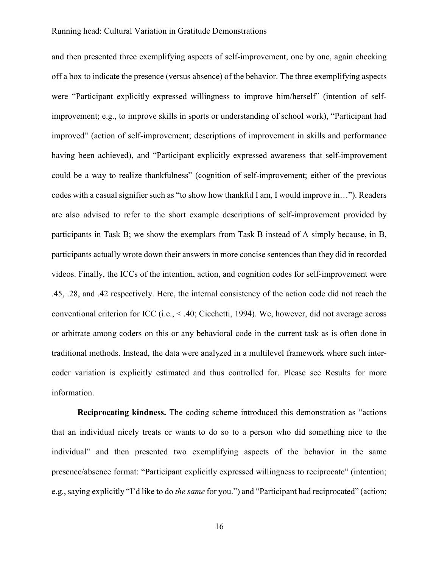and then presented three exemplifying aspects of self-improvement, one by one, again checking off a box to indicate the presence (versus absence) of the behavior. The three exemplifying aspects were "Participant explicitly expressed willingness to improve him/herself" (intention of selfimprovement; e.g., to improve skills in sports or understanding of school work), "Participant had improved" (action of self-improvement; descriptions of improvement in skills and performance having been achieved), and "Participant explicitly expressed awareness that self-improvement could be a way to realize thankfulness" (cognition of self-improvement; either of the previous codes with a casual signifier such as "to show how thankful I am, I would improve in…"). Readers are also advised to refer to the short example descriptions of self-improvement provided by participants in Task B; we show the exemplars from Task B instead of A simply because, in B, participants actually wrote down their answers in more concise sentences than they did in recorded videos. Finally, the ICCs of the intention, action, and cognition codes for self-improvement were .45, .28, and .42 respectively. Here, the internal consistency of the action code did not reach the conventional criterion for ICC (i.e., < .40; Cicchetti, 1994). We, however, did not average across or arbitrate among coders on this or any behavioral code in the current task as is often done in traditional methods. Instead, the data were analyzed in a multilevel framework where such intercoder variation is explicitly estimated and thus controlled for. Please see Results for more information.

Reciprocating kindness. The coding scheme introduced this demonstration as "actions that an individual nicely treats or wants to do so to a person who did something nice to the individual" and then presented two exemplifying aspects of the behavior in the same presence/absence format: "Participant explicitly expressed willingness to reciprocate" (intention; e.g., saying explicitly "I'd like to do the same for you.") and "Participant had reciprocated" (action;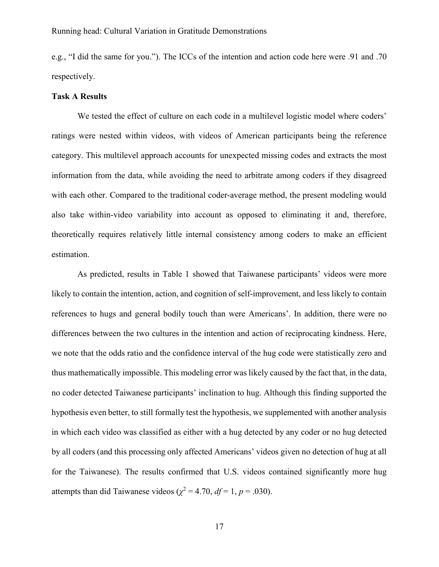e.g., "I did the same for you."). The ICCs of the intention and action code here were .91 and .70 respectively.

### Task A Results

We tested the effect of culture on each code in a multilevel logistic model where coders' ratings were nested within videos, with videos of American participants being the reference category. This multilevel approach accounts for unexpected missing codes and extracts the most information from the data, while avoiding the need to arbitrate among coders if they disagreed with each other. Compared to the traditional coder-average method, the present modeling would also take within-video variability into account as opposed to eliminating it and, therefore, theoretically requires relatively little internal consistency among coders to make an efficient estimation.

As predicted, results in Table 1 showed that Taiwanese participants' videos were more likely to contain the intention, action, and cognition of self-improvement, and less likely to contain references to hugs and general bodily touch than were Americans'. In addition, there were no differences between the two cultures in the intention and action of reciprocating kindness. Here, we note that the odds ratio and the confidence interval of the hug code were statistically zero and thus mathematically impossible. This modeling error was likely caused by the fact that, in the data, no coder detected Taiwanese participants' inclination to hug. Although this finding supported the hypothesis even better, to still formally test the hypothesis, we supplemented with another analysis in which each video was classified as either with a hug detected by any coder or no hug detected by all coders (and this processing only affected Americans' videos given no detection of hug at all for the Taiwanese). The results confirmed that U.S. videos contained significantly more hug attempts than did Taiwanese videos ( $\chi^2$  = 4.70, *df* = 1, *p* = .030).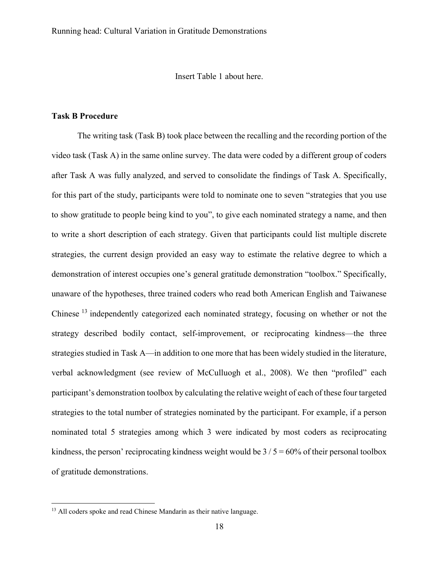Insert Table 1 about here.

### Task B Procedure

The writing task (Task B) took place between the recalling and the recording portion of the video task (Task A) in the same online survey. The data were coded by a different group of coders after Task A was fully analyzed, and served to consolidate the findings of Task A. Specifically, for this part of the study, participants were told to nominate one to seven "strategies that you use to show gratitude to people being kind to you", to give each nominated strategy a name, and then to write a short description of each strategy. Given that participants could list multiple discrete strategies, the current design provided an easy way to estimate the relative degree to which a demonstration of interest occupies one's general gratitude demonstration "toolbox." Specifically, unaware of the hypotheses, three trained coders who read both American English and Taiwanese Chinese<sup>13</sup> independently categorized each nominated strategy, focusing on whether or not the strategy described bodily contact, self-improvement, or reciprocating kindness—the three strategies studied in Task A—in addition to one more that has been widely studied in the literature, verbal acknowledgment (see review of McCulluogh et al., 2008). We then "profiled" each participant's demonstration toolbox by calculating the relative weight of each of these four targeted strategies to the total number of strategies nominated by the participant. For example, if a person nominated total 5 strategies among which 3 were indicated by most coders as reciprocating kindness, the person' reciprocating kindness weight would be  $3/5 = 60\%$  of their personal toolbox of gratitude demonstrations.

 $\overline{a}$ 

<sup>&</sup>lt;sup>13</sup> All coders spoke and read Chinese Mandarin as their native language.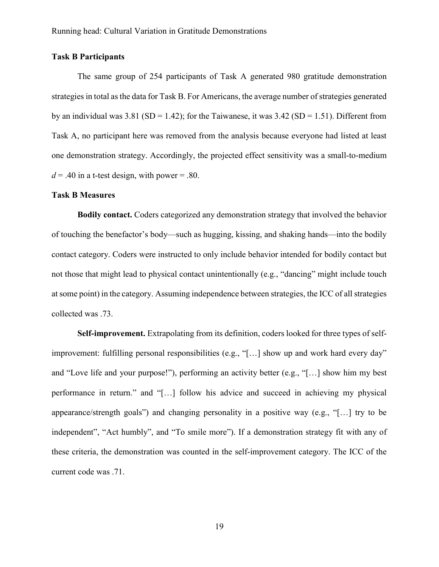### Task B Participants

The same group of 254 participants of Task A generated 980 gratitude demonstration strategies in total as the data for Task B. For Americans, the average number of strategies generated by an individual was  $3.81$  (SD = 1.42); for the Taiwanese, it was  $3.42$  (SD = 1.51). Different from Task A, no participant here was removed from the analysis because everyone had listed at least one demonstration strategy. Accordingly, the projected effect sensitivity was a small-to-medium  $d = .40$  in a t-test design, with power = .80.

#### Task B Measures

Bodily contact. Coders categorized any demonstration strategy that involved the behavior of touching the benefactor's body—such as hugging, kissing, and shaking hands—into the bodily contact category. Coders were instructed to only include behavior intended for bodily contact but not those that might lead to physical contact unintentionally (e.g., "dancing" might include touch at some point) in the category. Assuming independence between strategies, the ICC of all strategies collected was .73.

Self-improvement. Extrapolating from its definition, coders looked for three types of selfimprovement: fulfilling personal responsibilities (e.g., "[...] show up and work hard every day" and "Love life and your purpose!"), performing an activity better (e.g., "[…] show him my best performance in return." and "[…] follow his advice and succeed in achieving my physical appearance/strength goals") and changing personality in a positive way (e.g., "[…] try to be independent", "Act humbly", and "To smile more"). If a demonstration strategy fit with any of these criteria, the demonstration was counted in the self-improvement category. The ICC of the current code was .71.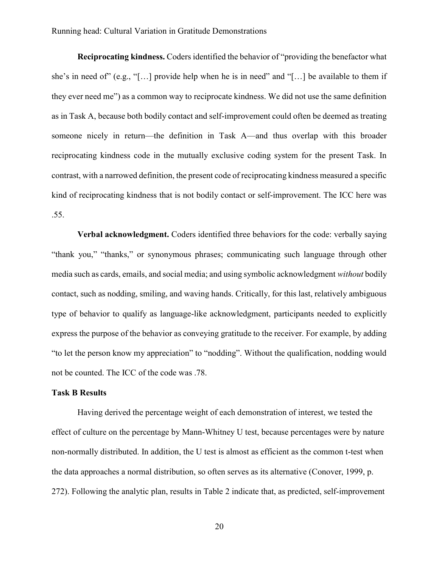Reciprocating kindness. Coders identified the behavior of "providing the benefactor what she's in need of" (e.g., "[…] provide help when he is in need" and "[…] be available to them if they ever need me") as a common way to reciprocate kindness. We did not use the same definition as in Task A, because both bodily contact and self-improvement could often be deemed as treating someone nicely in return—the definition in Task A—and thus overlap with this broader reciprocating kindness code in the mutually exclusive coding system for the present Task. In contrast, with a narrowed definition, the present code of reciprocating kindness measured a specific kind of reciprocating kindness that is not bodily contact or self-improvement. The ICC here was .55.

Verbal acknowledgment. Coders identified three behaviors for the code: verbally saying "thank you," "thanks," or synonymous phrases; communicating such language through other media such as cards, emails, and social media; and using symbolic acknowledgment without bodily contact, such as nodding, smiling, and waving hands. Critically, for this last, relatively ambiguous type of behavior to qualify as language-like acknowledgment, participants needed to explicitly express the purpose of the behavior as conveying gratitude to the receiver. For example, by adding "to let the person know my appreciation" to "nodding". Without the qualification, nodding would not be counted. The ICC of the code was .78.

### Task B Results

Having derived the percentage weight of each demonstration of interest, we tested the effect of culture on the percentage by Mann-Whitney U test, because percentages were by nature non-normally distributed. In addition, the U test is almost as efficient as the common t-test when the data approaches a normal distribution, so often serves as its alternative (Conover, 1999, p. 272). Following the analytic plan, results in Table 2 indicate that, as predicted, self-improvement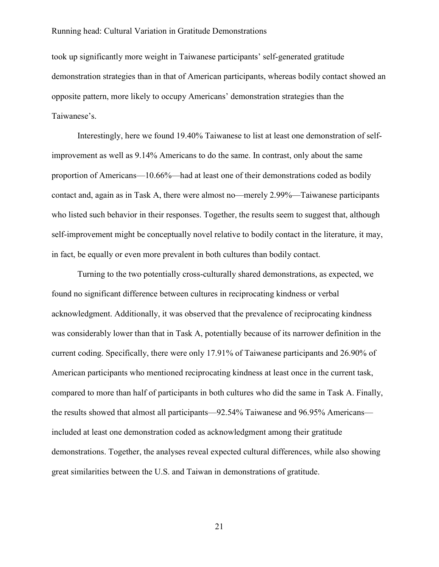took up significantly more weight in Taiwanese participants' self-generated gratitude demonstration strategies than in that of American participants, whereas bodily contact showed an opposite pattern, more likely to occupy Americans' demonstration strategies than the Taiwanese's.

Interestingly, here we found 19.40% Taiwanese to list at least one demonstration of selfimprovement as well as 9.14% Americans to do the same. In contrast, only about the same proportion of Americans—10.66%—had at least one of their demonstrations coded as bodily contact and, again as in Task A, there were almost no—merely 2.99%—Taiwanese participants who listed such behavior in their responses. Together, the results seem to suggest that, although self-improvement might be conceptually novel relative to bodily contact in the literature, it may, in fact, be equally or even more prevalent in both cultures than bodily contact.

Turning to the two potentially cross-culturally shared demonstrations, as expected, we found no significant difference between cultures in reciprocating kindness or verbal acknowledgment. Additionally, it was observed that the prevalence of reciprocating kindness was considerably lower than that in Task A, potentially because of its narrower definition in the current coding. Specifically, there were only 17.91% of Taiwanese participants and 26.90% of American participants who mentioned reciprocating kindness at least once in the current task, compared to more than half of participants in both cultures who did the same in Task A. Finally, the results showed that almost all participants—92.54% Taiwanese and 96.95% Americans included at least one demonstration coded as acknowledgment among their gratitude demonstrations. Together, the analyses reveal expected cultural differences, while also showing great similarities between the U.S. and Taiwan in demonstrations of gratitude.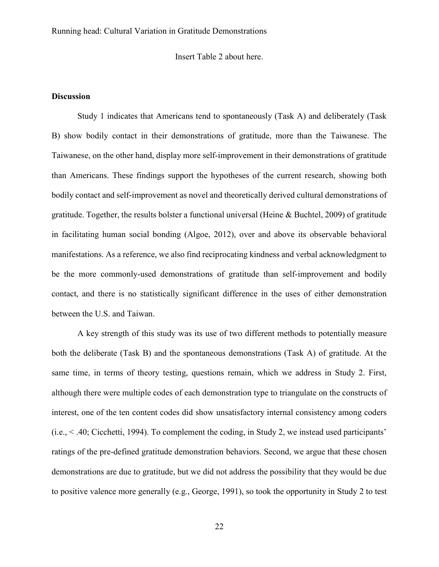Insert Table 2 about here.

### **Discussion**

Study 1 indicates that Americans tend to spontaneously (Task A) and deliberately (Task B) show bodily contact in their demonstrations of gratitude, more than the Taiwanese. The Taiwanese, on the other hand, display more self-improvement in their demonstrations of gratitude than Americans. These findings support the hypotheses of the current research, showing both bodily contact and self-improvement as novel and theoretically derived cultural demonstrations of gratitude. Together, the results bolster a functional universal (Heine & Buchtel, 2009) of gratitude in facilitating human social bonding (Algoe, 2012), over and above its observable behavioral manifestations. As a reference, we also find reciprocating kindness and verbal acknowledgment to be the more commonly-used demonstrations of gratitude than self-improvement and bodily contact, and there is no statistically significant difference in the uses of either demonstration between the U.S. and Taiwan.

A key strength of this study was its use of two different methods to potentially measure both the deliberate (Task B) and the spontaneous demonstrations (Task A) of gratitude. At the same time, in terms of theory testing, questions remain, which we address in Study 2. First, although there were multiple codes of each demonstration type to triangulate on the constructs of interest, one of the ten content codes did show unsatisfactory internal consistency among coders (i.e., < .40; Cicchetti, 1994). To complement the coding, in Study 2, we instead used participants' ratings of the pre-defined gratitude demonstration behaviors. Second, we argue that these chosen demonstrations are due to gratitude, but we did not address the possibility that they would be due to positive valence more generally (e.g., George, 1991), so took the opportunity in Study 2 to test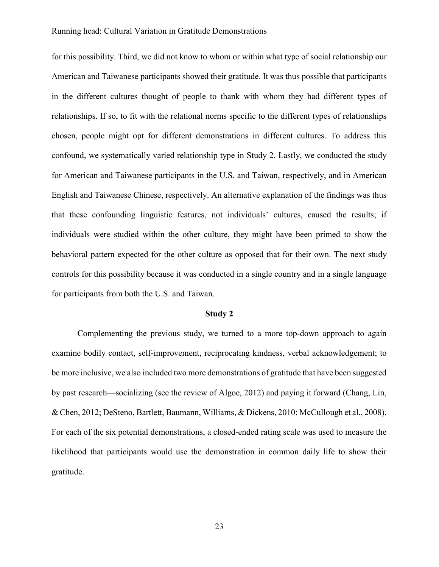for this possibility. Third, we did not know to whom or within what type of social relationship our American and Taiwanese participants showed their gratitude. It was thus possible that participants in the different cultures thought of people to thank with whom they had different types of relationships. If so, to fit with the relational norms specific to the different types of relationships chosen, people might opt for different demonstrations in different cultures. To address this confound, we systematically varied relationship type in Study 2. Lastly, we conducted the study for American and Taiwanese participants in the U.S. and Taiwan, respectively, and in American English and Taiwanese Chinese, respectively. An alternative explanation of the findings was thus that these confounding linguistic features, not individuals' cultures, caused the results; if individuals were studied within the other culture, they might have been primed to show the behavioral pattern expected for the other culture as opposed that for their own. The next study controls for this possibility because it was conducted in a single country and in a single language for participants from both the U.S. and Taiwan.

#### Study 2

Complementing the previous study, we turned to a more top-down approach to again examine bodily contact, self-improvement, reciprocating kindness, verbal acknowledgement; to be more inclusive, we also included two more demonstrations of gratitude that have been suggested by past research—socializing (see the review of Algoe, 2012) and paying it forward (Chang, Lin, & Chen, 2012; DeSteno, Bartlett, Baumann, Williams, & Dickens, 2010; McCullough et al., 2008). For each of the six potential demonstrations, a closed-ended rating scale was used to measure the likelihood that participants would use the demonstration in common daily life to show their gratitude.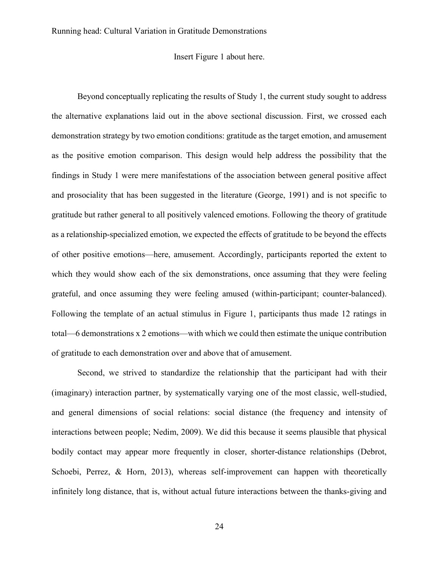### Insert Figure 1 about here.

Beyond conceptually replicating the results of Study 1, the current study sought to address the alternative explanations laid out in the above sectional discussion. First, we crossed each demonstration strategy by two emotion conditions: gratitude as the target emotion, and amusement as the positive emotion comparison. This design would help address the possibility that the findings in Study 1 were mere manifestations of the association between general positive affect and prosociality that has been suggested in the literature (George, 1991) and is not specific to gratitude but rather general to all positively valenced emotions. Following the theory of gratitude as a relationship-specialized emotion, we expected the effects of gratitude to be beyond the effects of other positive emotions—here, amusement. Accordingly, participants reported the extent to which they would show each of the six demonstrations, once assuming that they were feeling grateful, and once assuming they were feeling amused (within-participant; counter-balanced). Following the template of an actual stimulus in Figure 1, participants thus made 12 ratings in total—6 demonstrations x 2 emotions—with which we could then estimate the unique contribution of gratitude to each demonstration over and above that of amusement.

Second, we strived to standardize the relationship that the participant had with their (imaginary) interaction partner, by systematically varying one of the most classic, well-studied, and general dimensions of social relations: social distance (the frequency and intensity of interactions between people; Nedim, 2009). We did this because it seems plausible that physical bodily contact may appear more frequently in closer, shorter-distance relationships (Debrot, Schoebi, Perrez, & Horn, 2013), whereas self-improvement can happen with theoretically infinitely long distance, that is, without actual future interactions between the thanks-giving and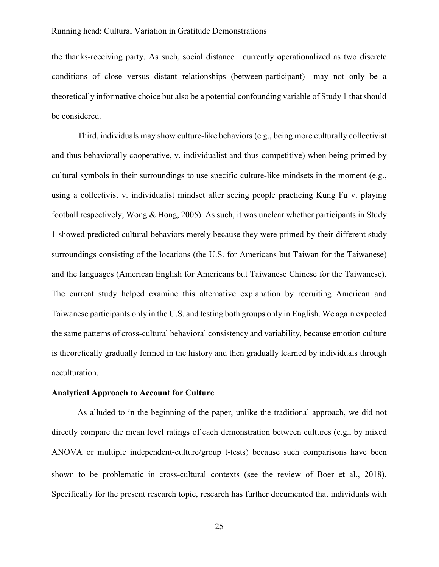the thanks-receiving party. As such, social distance—currently operationalized as two discrete conditions of close versus distant relationships (between-participant)—may not only be a theoretically informative choice but also be a potential confounding variable of Study 1 that should be considered.

Third, individuals may show culture-like behaviors (e.g., being more culturally collectivist and thus behaviorally cooperative, v. individualist and thus competitive) when being primed by cultural symbols in their surroundings to use specific culture-like mindsets in the moment (e.g., using a collectivist v. individualist mindset after seeing people practicing Kung Fu v. playing football respectively; Wong & Hong, 2005). As such, it was unclear whether participants in Study 1 showed predicted cultural behaviors merely because they were primed by their different study surroundings consisting of the locations (the U.S. for Americans but Taiwan for the Taiwanese) and the languages (American English for Americans but Taiwanese Chinese for the Taiwanese). The current study helped examine this alternative explanation by recruiting American and Taiwanese participants only in the U.S. and testing both groups only in English. We again expected the same patterns of cross-cultural behavioral consistency and variability, because emotion culture is theoretically gradually formed in the history and then gradually learned by individuals through acculturation.

#### Analytical Approach to Account for Culture

As alluded to in the beginning of the paper, unlike the traditional approach, we did not directly compare the mean level ratings of each demonstration between cultures (e.g., by mixed ANOVA or multiple independent-culture/group t-tests) because such comparisons have been shown to be problematic in cross-cultural contexts (see the review of Boer et al., 2018). Specifically for the present research topic, research has further documented that individuals with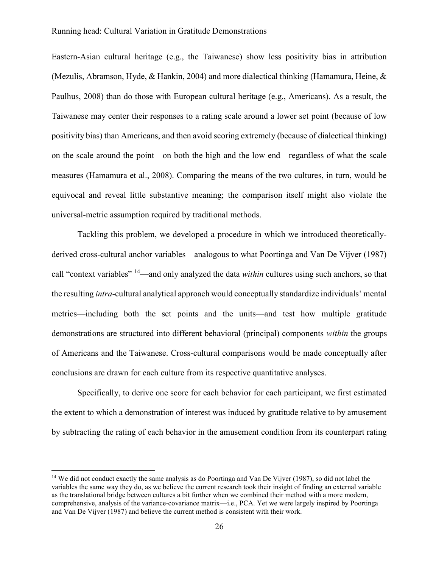Eastern-Asian cultural heritage (e.g., the Taiwanese) show less positivity bias in attribution (Mezulis, Abramson, Hyde, & Hankin, 2004) and more dialectical thinking (Hamamura, Heine, & Paulhus, 2008) than do those with European cultural heritage (e.g., Americans). As a result, the Taiwanese may center their responses to a rating scale around a lower set point (because of low positivity bias) than Americans, and then avoid scoring extremely (because of dialectical thinking) on the scale around the point—on both the high and the low end—regardless of what the scale measures (Hamamura et al., 2008). Comparing the means of the two cultures, in turn, would be equivocal and reveal little substantive meaning; the comparison itself might also violate the universal-metric assumption required by traditional methods.

Tackling this problem, we developed a procedure in which we introduced theoreticallyderived cross-cultural anchor variables—analogous to what Poortinga and Van De Vijver (1987) call "context variables"  $14$ —and only analyzed the data *within* cultures using such anchors, so that the resulting intra-cultural analytical approach would conceptually standardize individuals' mental metrics—including both the set points and the units—and test how multiple gratitude demonstrations are structured into different behavioral (principal) components within the groups of Americans and the Taiwanese. Cross-cultural comparisons would be made conceptually after conclusions are drawn for each culture from its respective quantitative analyses.

Specifically, to derive one score for each behavior for each participant, we first estimated the extent to which a demonstration of interest was induced by gratitude relative to by amusement by subtracting the rating of each behavior in the amusement condition from its counterpart rating

 $\overline{a}$ 

<sup>&</sup>lt;sup>14</sup> We did not conduct exactly the same analysis as do Poortinga and Van De Vijver (1987), so did not label the variables the same way they do, as we believe the current research took their insight of finding an external variable as the translational bridge between cultures a bit further when we combined their method with a more modern, comprehensive, analysis of the variance-covariance matrix—i.e., PCA. Yet we were largely inspired by Poortinga and Van De Vijver (1987) and believe the current method is consistent with their work.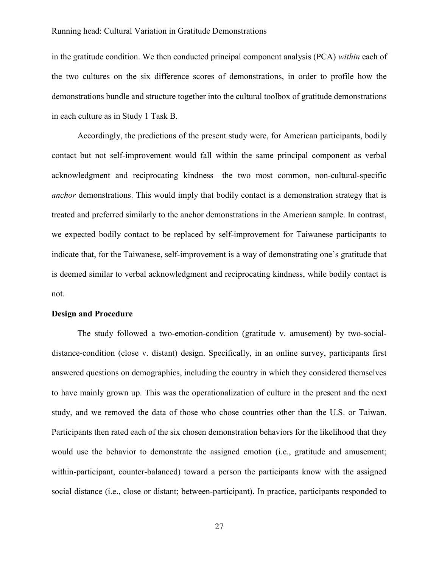in the gratitude condition. We then conducted principal component analysis (PCA) within each of the two cultures on the six difference scores of demonstrations, in order to profile how the demonstrations bundle and structure together into the cultural toolbox of gratitude demonstrations in each culture as in Study 1 Task B.

Accordingly, the predictions of the present study were, for American participants, bodily contact but not self-improvement would fall within the same principal component as verbal acknowledgment and reciprocating kindness—the two most common, non-cultural-specific anchor demonstrations. This would imply that bodily contact is a demonstration strategy that is treated and preferred similarly to the anchor demonstrations in the American sample. In contrast, we expected bodily contact to be replaced by self-improvement for Taiwanese participants to indicate that, for the Taiwanese, self-improvement is a way of demonstrating one's gratitude that is deemed similar to verbal acknowledgment and reciprocating kindness, while bodily contact is not.

### Design and Procedure

The study followed a two-emotion-condition (gratitude v. amusement) by two-socialdistance-condition (close v. distant) design. Specifically, in an online survey, participants first answered questions on demographics, including the country in which they considered themselves to have mainly grown up. This was the operationalization of culture in the present and the next study, and we removed the data of those who chose countries other than the U.S. or Taiwan. Participants then rated each of the six chosen demonstration behaviors for the likelihood that they would use the behavior to demonstrate the assigned emotion (i.e., gratitude and amusement; within-participant, counter-balanced) toward a person the participants know with the assigned social distance (i.e., close or distant; between-participant). In practice, participants responded to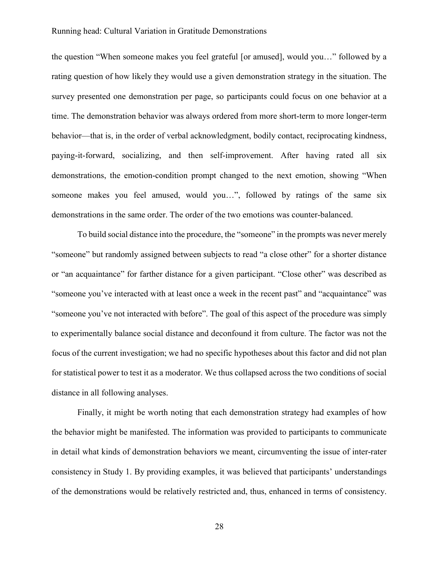the question "When someone makes you feel grateful [or amused], would you…" followed by a rating question of how likely they would use a given demonstration strategy in the situation. The survey presented one demonstration per page, so participants could focus on one behavior at a time. The demonstration behavior was always ordered from more short-term to more longer-term behavior—that is, in the order of verbal acknowledgment, bodily contact, reciprocating kindness, paying-it-forward, socializing, and then self-improvement. After having rated all six demonstrations, the emotion-condition prompt changed to the next emotion, showing "When someone makes you feel amused, would you…", followed by ratings of the same six demonstrations in the same order. The order of the two emotions was counter-balanced.

To build social distance into the procedure, the "someone" in the prompts was never merely "someone" but randomly assigned between subjects to read "a close other" for a shorter distance or "an acquaintance" for farther distance for a given participant. "Close other" was described as "someone you've interacted with at least once a week in the recent past" and "acquaintance" was "someone you've not interacted with before". The goal of this aspect of the procedure was simply to experimentally balance social distance and deconfound it from culture. The factor was not the focus of the current investigation; we had no specific hypotheses about this factor and did not plan for statistical power to test it as a moderator. We thus collapsed across the two conditions of social distance in all following analyses.

Finally, it might be worth noting that each demonstration strategy had examples of how the behavior might be manifested. The information was provided to participants to communicate in detail what kinds of demonstration behaviors we meant, circumventing the issue of inter-rater consistency in Study 1. By providing examples, it was believed that participants' understandings of the demonstrations would be relatively restricted and, thus, enhanced in terms of consistency.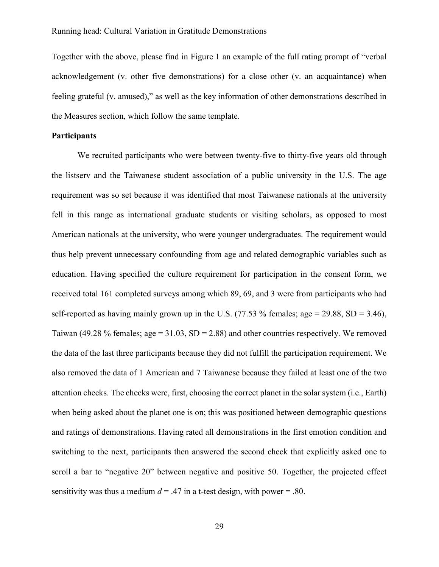Together with the above, please find in Figure 1 an example of the full rating prompt of "verbal acknowledgement (v. other five demonstrations) for a close other (v. an acquaintance) when feeling grateful (v. amused)," as well as the key information of other demonstrations described in the Measures section, which follow the same template.

### **Participants**

We recruited participants who were between twenty-five to thirty-five years old through the listserv and the Taiwanese student association of a public university in the U.S. The age requirement was so set because it was identified that most Taiwanese nationals at the university fell in this range as international graduate students or visiting scholars, as opposed to most American nationals at the university, who were younger undergraduates. The requirement would thus help prevent unnecessary confounding from age and related demographic variables such as education. Having specified the culture requirement for participation in the consent form, we received total 161 completed surveys among which 89, 69, and 3 were from participants who had self-reported as having mainly grown up in the U.S. (77.53 % females; age = 29.88, SD = 3.46), Taiwan (49.28 % females; age =  $31.03$ , SD = 2.88) and other countries respectively. We removed the data of the last three participants because they did not fulfill the participation requirement. We also removed the data of 1 American and 7 Taiwanese because they failed at least one of the two attention checks. The checks were, first, choosing the correct planet in the solar system (i.e., Earth) when being asked about the planet one is on; this was positioned between demographic questions and ratings of demonstrations. Having rated all demonstrations in the first emotion condition and switching to the next, participants then answered the second check that explicitly asked one to scroll a bar to "negative 20" between negative and positive 50. Together, the projected effect sensitivity was thus a medium  $d = .47$  in a t-test design, with power = .80.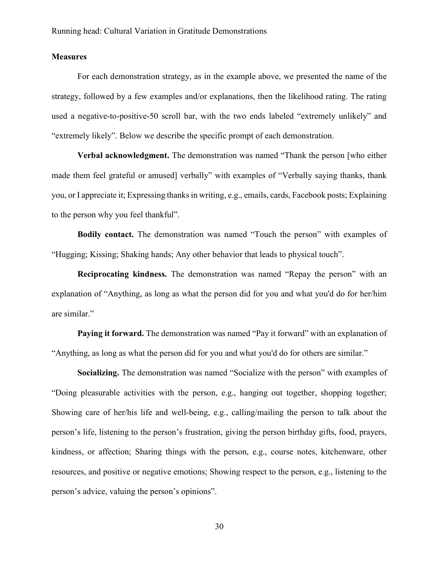### **Measures**

For each demonstration strategy, as in the example above, we presented the name of the strategy, followed by a few examples and/or explanations, then the likelihood rating. The rating used a negative-to-positive-50 scroll bar, with the two ends labeled "extremely unlikely" and "extremely likely". Below we describe the specific prompt of each demonstration.

Verbal acknowledgment. The demonstration was named "Thank the person [who either made them feel grateful or amused] verbally" with examples of "Verbally saying thanks, thank you, or I appreciate it; Expressing thanks in writing, e.g., emails, cards, Facebook posts; Explaining to the person why you feel thankful".

Bodily contact. The demonstration was named "Touch the person" with examples of "Hugging; Kissing; Shaking hands; Any other behavior that leads to physical touch".

Reciprocating kindness. The demonstration was named "Repay the person" with an explanation of "Anything, as long as what the person did for you and what you'd do for her/him are similar."

Paying it forward. The demonstration was named "Pay it forward" with an explanation of "Anything, as long as what the person did for you and what you'd do for others are similar."

Socializing. The demonstration was named "Socialize with the person" with examples of "Doing pleasurable activities with the person, e.g., hanging out together, shopping together; Showing care of her/his life and well-being, e.g., calling/mailing the person to talk about the person's life, listening to the person's frustration, giving the person birthday gifts, food, prayers, kindness, or affection; Sharing things with the person, e.g., course notes, kitchenware, other resources, and positive or negative emotions; Showing respect to the person, e.g., listening to the person's advice, valuing the person's opinions".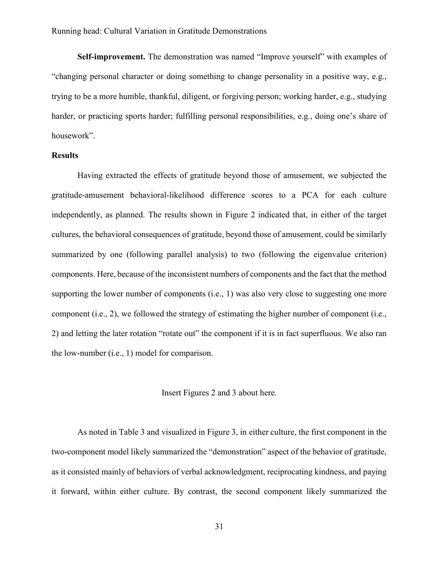Self-improvement. The demonstration was named "Improve yourself" with examples of "changing personal character or doing something to change personality in a positive way, e.g., trying to be a more humble, thankful, diligent, or forgiving person; working harder, e.g., studying harder, or practicing sports harder; fulfilling personal responsibilities, e.g., doing one's share of housework".

### **Results**

Having extracted the effects of gratitude beyond those of amusement, we subjected the gratitude-amusement behavioral-likelihood difference scores to a PCA for each culture independently, as planned. The results shown in Figure 2 indicated that, in either of the target cultures, the behavioral consequences of gratitude, beyond those of amusement, could be similarly summarized by one (following parallel analysis) to two (following the eigenvalue criterion) components. Here, because of the inconsistent numbers of components and the fact that the method supporting the lower number of components (i.e., 1) was also very close to suggesting one more component (i.e., 2), we followed the strategy of estimating the higher number of component (i.e., 2) and letting the later rotation "rotate out" the component if it is in fact superfluous. We also ran the low-number (i.e., 1) model for comparison.

### Insert Figures 2 and 3 about here.

As noted in Table 3 and visualized in Figure 3, in either culture, the first component in the two-component model likely summarized the "demonstration" aspect of the behavior of gratitude, as it consisted mainly of behaviors of verbal acknowledgment, reciprocating kindness, and paying it forward, within either culture. By contrast, the second component likely summarized the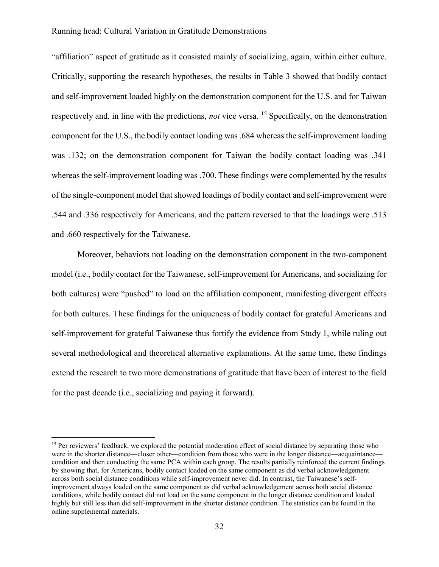"affiliation" aspect of gratitude as it consisted mainly of socializing, again, within either culture. Critically, supporting the research hypotheses, the results in Table 3 showed that bodily contact and self-improvement loaded highly on the demonstration component for the U.S. and for Taiwan respectively and, in line with the predictions, *not* vice versa. <sup>15</sup> Specifically, on the demonstration component for the U.S., the bodily contact loading was .684 whereas the self-improvement loading was .132; on the demonstration component for Taiwan the bodily contact loading was .341 whereas the self-improvement loading was .700. These findings were complemented by the results of the single-component model that showed loadings of bodily contact and self-improvement were .544 and .336 respectively for Americans, and the pattern reversed to that the loadings were .513 and .660 respectively for the Taiwanese.

Moreover, behaviors not loading on the demonstration component in the two-component model (i.e., bodily contact for the Taiwanese, self-improvement for Americans, and socializing for both cultures) were "pushed" to load on the affiliation component, manifesting divergent effects for both cultures. These findings for the uniqueness of bodily contact for grateful Americans and self-improvement for grateful Taiwanese thus fortify the evidence from Study 1, while ruling out several methodological and theoretical alternative explanations. At the same time, these findings extend the research to two more demonstrations of gratitude that have been of interest to the field for the past decade (i.e., socializing and paying it forward).

 $\overline{a}$ 

<sup>&</sup>lt;sup>15</sup> Per reviewers' feedback, we explored the potential moderation effect of social distance by separating those who were in the shorter distance—closer other—condition from those who were in the longer distance—acquaintance condition and then conducting the same PCA within each group. The results partially reinforced the current findings by showing that, for Americans, bodily contact loaded on the same component as did verbal acknowledgement across both social distance conditions while self-improvement never did. In contrast, the Taiwanese's selfimprovement always loaded on the same component as did verbal acknowledgement across both social distance conditions, while bodily contact did not load on the same component in the longer distance condition and loaded highly but still less than did self-improvement in the shorter distance condition. The statistics can be found in the online supplemental materials.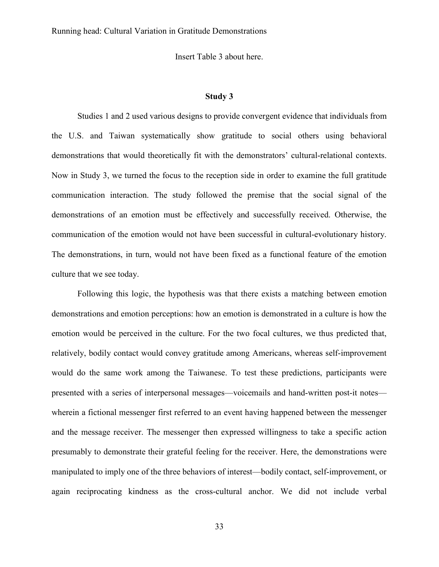Insert Table 3 about here.

### Study 3

Studies 1 and 2 used various designs to provide convergent evidence that individuals from the U.S. and Taiwan systematically show gratitude to social others using behavioral demonstrations that would theoretically fit with the demonstrators' cultural-relational contexts. Now in Study 3, we turned the focus to the reception side in order to examine the full gratitude communication interaction. The study followed the premise that the social signal of the demonstrations of an emotion must be effectively and successfully received. Otherwise, the communication of the emotion would not have been successful in cultural-evolutionary history. The demonstrations, in turn, would not have been fixed as a functional feature of the emotion culture that we see today.

Following this logic, the hypothesis was that there exists a matching between emotion demonstrations and emotion perceptions: how an emotion is demonstrated in a culture is how the emotion would be perceived in the culture. For the two focal cultures, we thus predicted that, relatively, bodily contact would convey gratitude among Americans, whereas self-improvement would do the same work among the Taiwanese. To test these predictions, participants were presented with a series of interpersonal messages—voicemails and hand-written post-it notes wherein a fictional messenger first referred to an event having happened between the messenger and the message receiver. The messenger then expressed willingness to take a specific action presumably to demonstrate their grateful feeling for the receiver. Here, the demonstrations were manipulated to imply one of the three behaviors of interest—bodily contact, self-improvement, or again reciprocating kindness as the cross-cultural anchor. We did not include verbal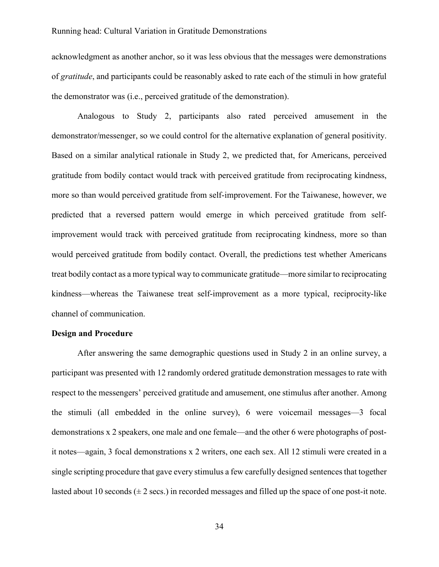acknowledgment as another anchor, so it was less obvious that the messages were demonstrations of gratitude, and participants could be reasonably asked to rate each of the stimuli in how grateful the demonstrator was (i.e., perceived gratitude of the demonstration).

Analogous to Study 2, participants also rated perceived amusement in the demonstrator/messenger, so we could control for the alternative explanation of general positivity. Based on a similar analytical rationale in Study 2, we predicted that, for Americans, perceived gratitude from bodily contact would track with perceived gratitude from reciprocating kindness, more so than would perceived gratitude from self-improvement. For the Taiwanese, however, we predicted that a reversed pattern would emerge in which perceived gratitude from selfimprovement would track with perceived gratitude from reciprocating kindness, more so than would perceived gratitude from bodily contact. Overall, the predictions test whether Americans treat bodily contact as a more typical way to communicate gratitude—more similar to reciprocating kindness—whereas the Taiwanese treat self-improvement as a more typical, reciprocity-like channel of communication.

### Design and Procedure

After answering the same demographic questions used in Study 2 in an online survey, a participant was presented with 12 randomly ordered gratitude demonstration messages to rate with respect to the messengers' perceived gratitude and amusement, one stimulus after another. Among the stimuli (all embedded in the online survey), 6 were voicemail messages—3 focal demonstrations x 2 speakers, one male and one female—and the other 6 were photographs of postit notes—again, 3 focal demonstrations x 2 writers, one each sex. All 12 stimuli were created in a single scripting procedure that gave every stimulus a few carefully designed sentences that together lasted about 10 seconds  $(\pm 2 \text{ secs.})$  in recorded messages and filled up the space of one post-it note.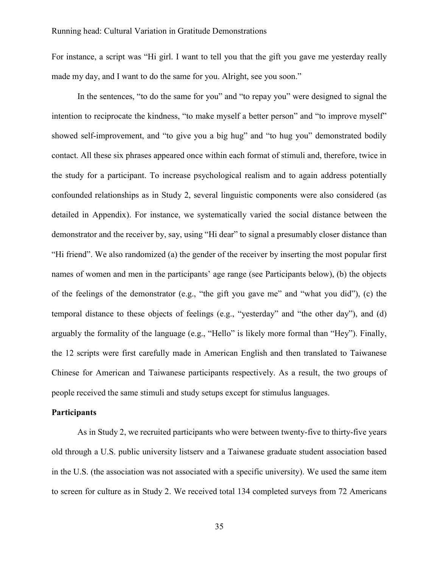For instance, a script was "Hi girl. I want to tell you that the gift you gave me yesterday really made my day, and I want to do the same for you. Alright, see you soon."

In the sentences, "to do the same for you" and "to repay you" were designed to signal the intention to reciprocate the kindness, "to make myself a better person" and "to improve myself" showed self-improvement, and "to give you a big hug" and "to hug you" demonstrated bodily contact. All these six phrases appeared once within each format of stimuli and, therefore, twice in the study for a participant. To increase psychological realism and to again address potentially confounded relationships as in Study 2, several linguistic components were also considered (as detailed in Appendix). For instance, we systematically varied the social distance between the demonstrator and the receiver by, say, using "Hi dear" to signal a presumably closer distance than "Hi friend". We also randomized (a) the gender of the receiver by inserting the most popular first names of women and men in the participants' age range (see Participants below), (b) the objects of the feelings of the demonstrator (e.g., "the gift you gave me" and "what you did"), (c) the temporal distance to these objects of feelings (e.g., "yesterday" and "the other day"), and (d) arguably the formality of the language (e.g., "Hello" is likely more formal than "Hey"). Finally, the 12 scripts were first carefully made in American English and then translated to Taiwanese Chinese for American and Taiwanese participants respectively. As a result, the two groups of people received the same stimuli and study setups except for stimulus languages.

### **Participants**

As in Study 2, we recruited participants who were between twenty-five to thirty-five years old through a U.S. public university listserv and a Taiwanese graduate student association based in the U.S. (the association was not associated with a specific university). We used the same item to screen for culture as in Study 2. We received total 134 completed surveys from 72 Americans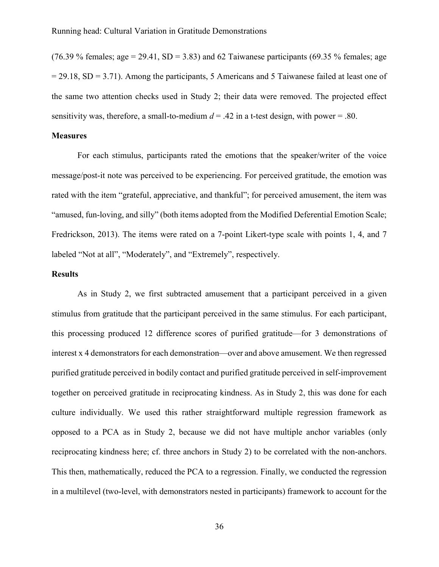(76.39 % females; age = 29.41, SD = 3.83) and 62 Taiwanese participants (69.35 % females; age  $= 29.18$ , SD = 3.71). Among the participants, 5 Americans and 5 Taiwanese failed at least one of the same two attention checks used in Study 2; their data were removed. The projected effect sensitivity was, therefore, a small-to-medium  $d = .42$  in a t-test design, with power = .80.

### **Measures**

For each stimulus, participants rated the emotions that the speaker/writer of the voice message/post-it note was perceived to be experiencing. For perceived gratitude, the emotion was rated with the item "grateful, appreciative, and thankful"; for perceived amusement, the item was "amused, fun-loving, and silly" (both items adopted from the Modified Deferential Emotion Scale; Fredrickson, 2013). The items were rated on a 7-point Likert-type scale with points 1, 4, and 7 labeled "Not at all", "Moderately", and "Extremely", respectively.

### Results

As in Study 2, we first subtracted amusement that a participant perceived in a given stimulus from gratitude that the participant perceived in the same stimulus. For each participant, this processing produced 12 difference scores of purified gratitude—for 3 demonstrations of interest x 4 demonstrators for each demonstration—over and above amusement. We then regressed purified gratitude perceived in bodily contact and purified gratitude perceived in self-improvement together on perceived gratitude in reciprocating kindness. As in Study 2, this was done for each culture individually. We used this rather straightforward multiple regression framework as opposed to a PCA as in Study 2, because we did not have multiple anchor variables (only reciprocating kindness here; cf. three anchors in Study 2) to be correlated with the non-anchors. This then, mathematically, reduced the PCA to a regression. Finally, we conducted the regression in a multilevel (two-level, with demonstrators nested in participants) framework to account for the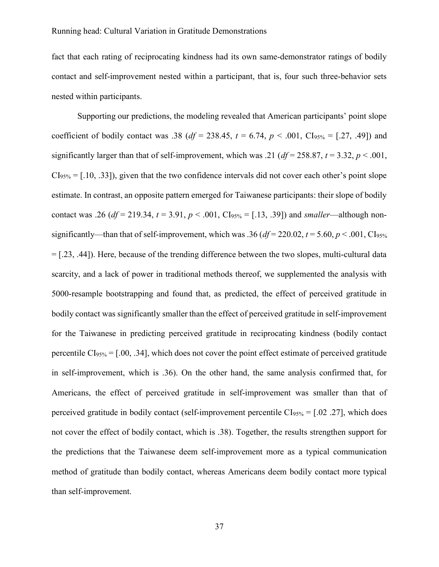fact that each rating of reciprocating kindness had its own same-demonstrator ratings of bodily contact and self-improvement nested within a participant, that is, four such three-behavior sets nested within participants.

Supporting our predictions, the modeling revealed that American participants' point slope coefficient of bodily contact was .38 ( $df = 238.45$ ,  $t = 6.74$ ,  $p < .001$ , CI<sub>95%</sub> = [.27, .49]) and significantly larger than that of self-improvement, which was .21 ( $df = 258.87$ ,  $t = 3.32$ ,  $p < .001$ ,  $CI<sub>95%</sub> = [.10, .33]),$  given that the two confidence intervals did not cover each other's point slope estimate. In contrast, an opposite pattern emerged for Taiwanese participants: their slope of bodily contact was .26 (df = 219.34,  $t = 3.91$ ,  $p < .001$ , CI<sub>95%</sub> = [.13, .39]) and smaller—although nonsignificantly—than that of self-improvement, which was .36 ( $df = 220.02$ ,  $t = 5.60$ ,  $p < .001$ , Cl<sub>95%</sub>  $=[.23, .44]$ ). Here, because of the trending difference between the two slopes, multi-cultural data scarcity, and a lack of power in traditional methods thereof, we supplemented the analysis with 5000-resample bootstrapping and found that, as predicted, the effect of perceived gratitude in bodily contact was significantly smaller than the effect of perceived gratitude in self-improvement for the Taiwanese in predicting perceived gratitude in reciprocating kindness (bodily contact percentile  $CI<sub>95%</sub> = [.00, .34]$ , which does not cover the point effect estimate of perceived gratitude in self-improvement, which is .36). On the other hand, the same analysis confirmed that, for Americans, the effect of perceived gratitude in self-improvement was smaller than that of perceived gratitude in bodily contact (self-improvement percentile  $CI<sub>95%</sub> = [.02.27]$ , which does not cover the effect of bodily contact, which is .38). Together, the results strengthen support for the predictions that the Taiwanese deem self-improvement more as a typical communication method of gratitude than bodily contact, whereas Americans deem bodily contact more typical than self-improvement.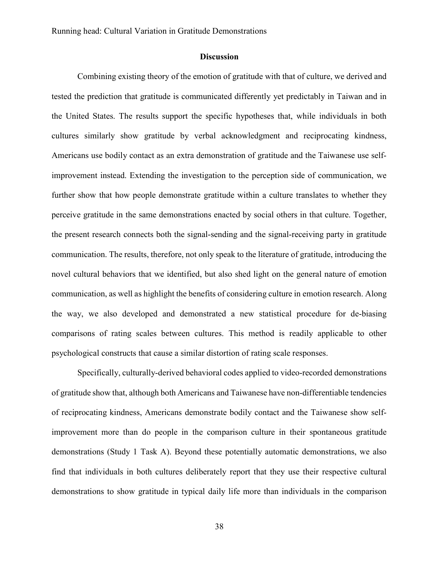#### **Discussion**

Combining existing theory of the emotion of gratitude with that of culture, we derived and tested the prediction that gratitude is communicated differently yet predictably in Taiwan and in the United States. The results support the specific hypotheses that, while individuals in both cultures similarly show gratitude by verbal acknowledgment and reciprocating kindness, Americans use bodily contact as an extra demonstration of gratitude and the Taiwanese use selfimprovement instead. Extending the investigation to the perception side of communication, we further show that how people demonstrate gratitude within a culture translates to whether they perceive gratitude in the same demonstrations enacted by social others in that culture. Together, the present research connects both the signal-sending and the signal-receiving party in gratitude communication. The results, therefore, not only speak to the literature of gratitude, introducing the novel cultural behaviors that we identified, but also shed light on the general nature of emotion communication, as well as highlight the benefits of considering culture in emotion research. Along the way, we also developed and demonstrated a new statistical procedure for de-biasing comparisons of rating scales between cultures. This method is readily applicable to other psychological constructs that cause a similar distortion of rating scale responses.

Specifically, culturally-derived behavioral codes applied to video-recorded demonstrations of gratitude show that, although both Americans and Taiwanese have non-differentiable tendencies of reciprocating kindness, Americans demonstrate bodily contact and the Taiwanese show selfimprovement more than do people in the comparison culture in their spontaneous gratitude demonstrations (Study 1 Task A). Beyond these potentially automatic demonstrations, we also find that individuals in both cultures deliberately report that they use their respective cultural demonstrations to show gratitude in typical daily life more than individuals in the comparison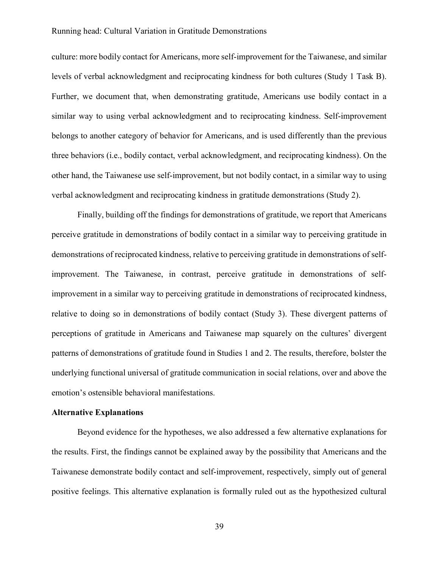culture: more bodily contact for Americans, more self-improvement for the Taiwanese, and similar levels of verbal acknowledgment and reciprocating kindness for both cultures (Study 1 Task B). Further, we document that, when demonstrating gratitude, Americans use bodily contact in a similar way to using verbal acknowledgment and to reciprocating kindness. Self-improvement belongs to another category of behavior for Americans, and is used differently than the previous three behaviors (i.e., bodily contact, verbal acknowledgment, and reciprocating kindness). On the other hand, the Taiwanese use self-improvement, but not bodily contact, in a similar way to using verbal acknowledgment and reciprocating kindness in gratitude demonstrations (Study 2).

Finally, building off the findings for demonstrations of gratitude, we report that Americans perceive gratitude in demonstrations of bodily contact in a similar way to perceiving gratitude in demonstrations of reciprocated kindness, relative to perceiving gratitude in demonstrations of selfimprovement. The Taiwanese, in contrast, perceive gratitude in demonstrations of selfimprovement in a similar way to perceiving gratitude in demonstrations of reciprocated kindness, relative to doing so in demonstrations of bodily contact (Study 3). These divergent patterns of perceptions of gratitude in Americans and Taiwanese map squarely on the cultures' divergent patterns of demonstrations of gratitude found in Studies 1 and 2. The results, therefore, bolster the underlying functional universal of gratitude communication in social relations, over and above the emotion's ostensible behavioral manifestations.

### Alternative Explanations

Beyond evidence for the hypotheses, we also addressed a few alternative explanations for the results. First, the findings cannot be explained away by the possibility that Americans and the Taiwanese demonstrate bodily contact and self-improvement, respectively, simply out of general positive feelings. This alternative explanation is formally ruled out as the hypothesized cultural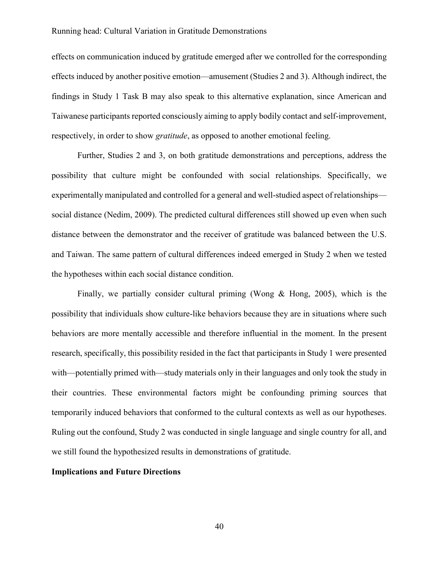effects on communication induced by gratitude emerged after we controlled for the corresponding effects induced by another positive emotion—amusement (Studies 2 and 3). Although indirect, the findings in Study 1 Task B may also speak to this alternative explanation, since American and Taiwanese participants reported consciously aiming to apply bodily contact and self-improvement, respectively, in order to show *gratitude*, as opposed to another emotional feeling.

Further, Studies 2 and 3, on both gratitude demonstrations and perceptions, address the possibility that culture might be confounded with social relationships. Specifically, we experimentally manipulated and controlled for a general and well-studied aspect of relationships social distance (Nedim, 2009). The predicted cultural differences still showed up even when such distance between the demonstrator and the receiver of gratitude was balanced between the U.S. and Taiwan. The same pattern of cultural differences indeed emerged in Study 2 when we tested the hypotheses within each social distance condition.

Finally, we partially consider cultural priming (Wong  $\&$  Hong, 2005), which is the possibility that individuals show culture-like behaviors because they are in situations where such behaviors are more mentally accessible and therefore influential in the moment. In the present research, specifically, this possibility resided in the fact that participants in Study 1 were presented with—potentially primed with—study materials only in their languages and only took the study in their countries. These environmental factors might be confounding priming sources that temporarily induced behaviors that conformed to the cultural contexts as well as our hypotheses. Ruling out the confound, Study 2 was conducted in single language and single country for all, and we still found the hypothesized results in demonstrations of gratitude.

### Implications and Future Directions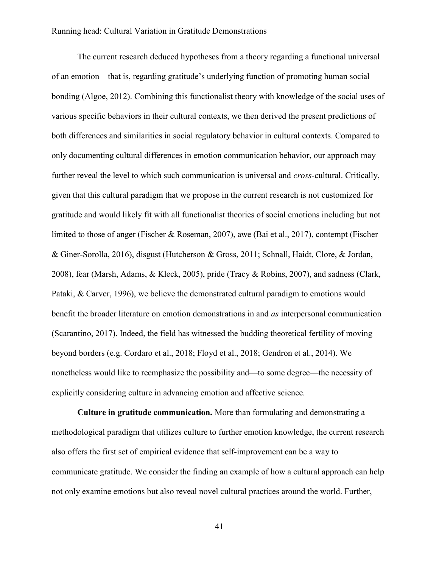The current research deduced hypotheses from a theory regarding a functional universal of an emotion—that is, regarding gratitude's underlying function of promoting human social bonding (Algoe, 2012). Combining this functionalist theory with knowledge of the social uses of various specific behaviors in their cultural contexts, we then derived the present predictions of both differences and similarities in social regulatory behavior in cultural contexts. Compared to only documenting cultural differences in emotion communication behavior, our approach may further reveal the level to which such communication is universal and *cross*-cultural. Critically, given that this cultural paradigm that we propose in the current research is not customized for gratitude and would likely fit with all functionalist theories of social emotions including but not limited to those of anger (Fischer & Roseman, 2007), awe (Bai et al., 2017), contempt (Fischer & Giner-Sorolla, 2016), disgust (Hutcherson & Gross, 2011; Schnall, Haidt, Clore, & Jordan, 2008), fear (Marsh, Adams, & Kleck, 2005), pride (Tracy & Robins, 2007), and sadness (Clark, Pataki, & Carver, 1996), we believe the demonstrated cultural paradigm to emotions would benefit the broader literature on emotion demonstrations in and as interpersonal communication (Scarantino, 2017). Indeed, the field has witnessed the budding theoretical fertility of moving beyond borders (e.g. Cordaro et al., 2018; Floyd et al., 2018; Gendron et al., 2014). We nonetheless would like to reemphasize the possibility and—to some degree—the necessity of explicitly considering culture in advancing emotion and affective science.

Culture in gratitude communication. More than formulating and demonstrating a methodological paradigm that utilizes culture to further emotion knowledge, the current research also offers the first set of empirical evidence that self-improvement can be a way to communicate gratitude. We consider the finding an example of how a cultural approach can help not only examine emotions but also reveal novel cultural practices around the world. Further,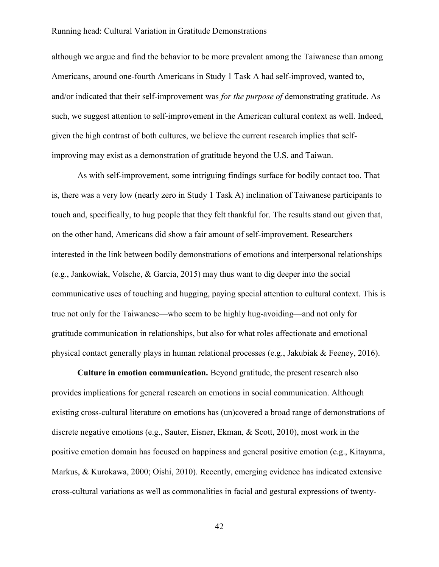although we argue and find the behavior to be more prevalent among the Taiwanese than among Americans, around one-fourth Americans in Study 1 Task A had self-improved, wanted to, and/or indicated that their self-improvement was *for the purpose of* demonstrating gratitude. As such, we suggest attention to self-improvement in the American cultural context as well. Indeed, given the high contrast of both cultures, we believe the current research implies that selfimproving may exist as a demonstration of gratitude beyond the U.S. and Taiwan.

As with self-improvement, some intriguing findings surface for bodily contact too. That is, there was a very low (nearly zero in Study 1 Task A) inclination of Taiwanese participants to touch and, specifically, to hug people that they felt thankful for. The results stand out given that, on the other hand, Americans did show a fair amount of self-improvement. Researchers interested in the link between bodily demonstrations of emotions and interpersonal relationships (e.g., Jankowiak, Volsche, & Garcia, 2015) may thus want to dig deeper into the social communicative uses of touching and hugging, paying special attention to cultural context. This is true not only for the Taiwanese—who seem to be highly hug-avoiding—and not only for gratitude communication in relationships, but also for what roles affectionate and emotional physical contact generally plays in human relational processes (e.g., Jakubiak & Feeney, 2016).

Culture in emotion communication. Beyond gratitude, the present research also provides implications for general research on emotions in social communication. Although existing cross-cultural literature on emotions has (un)covered a broad range of demonstrations of discrete negative emotions (e.g., Sauter, Eisner, Ekman, & Scott, 2010), most work in the positive emotion domain has focused on happiness and general positive emotion (e.g., Kitayama, Markus, & Kurokawa, 2000; Oishi, 2010). Recently, emerging evidence has indicated extensive cross-cultural variations as well as commonalities in facial and gestural expressions of twenty-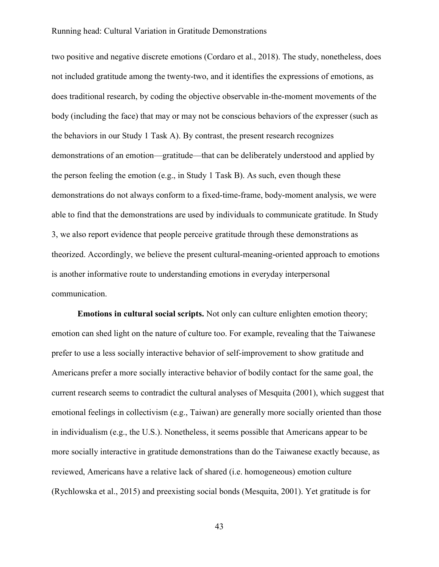two positive and negative discrete emotions (Cordaro et al., 2018). The study, nonetheless, does not included gratitude among the twenty-two, and it identifies the expressions of emotions, as does traditional research, by coding the objective observable in-the-moment movements of the body (including the face) that may or may not be conscious behaviors of the expresser (such as the behaviors in our Study 1 Task A). By contrast, the present research recognizes demonstrations of an emotion—gratitude—that can be deliberately understood and applied by the person feeling the emotion (e.g., in Study 1 Task B). As such, even though these demonstrations do not always conform to a fixed-time-frame, body-moment analysis, we were able to find that the demonstrations are used by individuals to communicate gratitude. In Study 3, we also report evidence that people perceive gratitude through these demonstrations as theorized. Accordingly, we believe the present cultural-meaning-oriented approach to emotions is another informative route to understanding emotions in everyday interpersonal communication.

Emotions in cultural social scripts. Not only can culture enlighten emotion theory; emotion can shed light on the nature of culture too. For example, revealing that the Taiwanese prefer to use a less socially interactive behavior of self-improvement to show gratitude and Americans prefer a more socially interactive behavior of bodily contact for the same goal, the current research seems to contradict the cultural analyses of Mesquita (2001), which suggest that emotional feelings in collectivism (e.g., Taiwan) are generally more socially oriented than those in individualism (e.g., the U.S.). Nonetheless, it seems possible that Americans appear to be more socially interactive in gratitude demonstrations than do the Taiwanese exactly because, as reviewed, Americans have a relative lack of shared (i.e. homogeneous) emotion culture (Rychlowska et al., 2015) and preexisting social bonds (Mesquita, 2001). Yet gratitude is for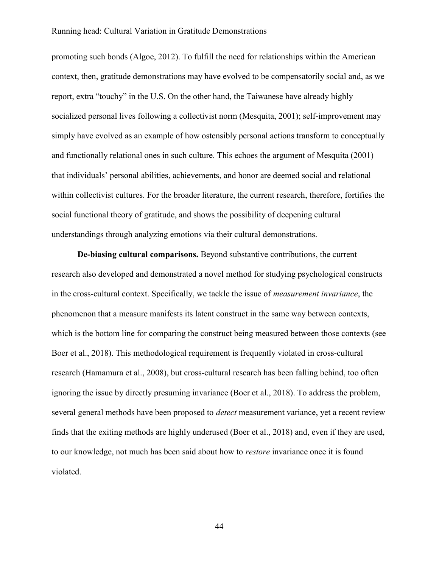promoting such bonds (Algoe, 2012). To fulfill the need for relationships within the American context, then, gratitude demonstrations may have evolved to be compensatorily social and, as we report, extra "touchy" in the U.S. On the other hand, the Taiwanese have already highly socialized personal lives following a collectivist norm (Mesquita, 2001); self-improvement may simply have evolved as an example of how ostensibly personal actions transform to conceptually and functionally relational ones in such culture. This echoes the argument of Mesquita (2001) that individuals' personal abilities, achievements, and honor are deemed social and relational within collectivist cultures. For the broader literature, the current research, therefore, fortifies the social functional theory of gratitude, and shows the possibility of deepening cultural understandings through analyzing emotions via their cultural demonstrations.

De-biasing cultural comparisons. Beyond substantive contributions, the current research also developed and demonstrated a novel method for studying psychological constructs in the cross-cultural context. Specifically, we tackle the issue of measurement invariance, the phenomenon that a measure manifests its latent construct in the same way between contexts, which is the bottom line for comparing the construct being measured between those contexts (see Boer et al., 2018). This methodological requirement is frequently violated in cross-cultural research (Hamamura et al., 2008), but cross-cultural research has been falling behind, too often ignoring the issue by directly presuming invariance (Boer et al., 2018). To address the problem, several general methods have been proposed to *detect* measurement variance, yet a recent review finds that the exiting methods are highly underused (Boer et al., 2018) and, even if they are used, to our knowledge, not much has been said about how to *restore* invariance once it is found violated.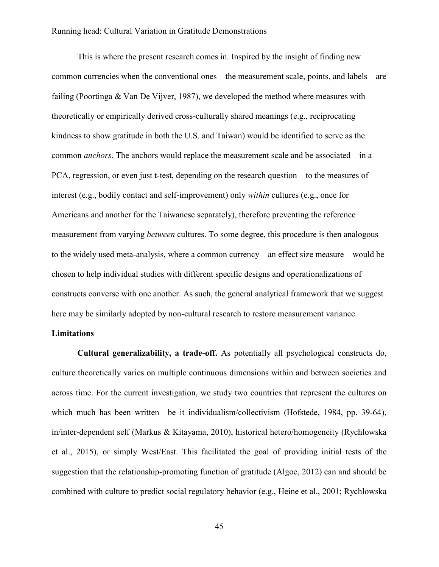This is where the present research comes in. Inspired by the insight of finding new common currencies when the conventional ones—the measurement scale, points, and labels—are failing (Poortinga & Van De Vijver, 1987), we developed the method where measures with theoretically or empirically derived cross-culturally shared meanings (e.g., reciprocating kindness to show gratitude in both the U.S. and Taiwan) would be identified to serve as the common anchors. The anchors would replace the measurement scale and be associated—in a PCA, regression, or even just t-test, depending on the research question—to the measures of interest (e.g., bodily contact and self-improvement) only within cultures (e.g., once for Americans and another for the Taiwanese separately), therefore preventing the reference measurement from varying *between* cultures. To some degree, this procedure is then analogous to the widely used meta-analysis, where a common currency—an effect size measure—would be chosen to help individual studies with different specific designs and operationalizations of constructs converse with one another. As such, the general analytical framework that we suggest here may be similarly adopted by non-cultural research to restore measurement variance.

### Limitations

Cultural generalizability, a trade-off. As potentially all psychological constructs do, culture theoretically varies on multiple continuous dimensions within and between societies and across time. For the current investigation, we study two countries that represent the cultures on which much has been written—be it individualism/collectivism (Hofstede, 1984, pp. 39-64), in/inter-dependent self (Markus & Kitayama, 2010), historical hetero/homogeneity (Rychlowska et al., 2015), or simply West/East. This facilitated the goal of providing initial tests of the suggestion that the relationship-promoting function of gratitude (Algoe, 2012) can and should be combined with culture to predict social regulatory behavior (e.g., Heine et al., 2001; Rychlowska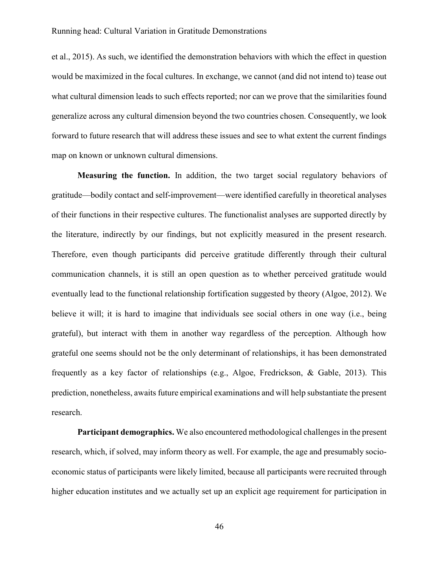et al., 2015). As such, we identified the demonstration behaviors with which the effect in question would be maximized in the focal cultures. In exchange, we cannot (and did not intend to) tease out what cultural dimension leads to such effects reported; nor can we prove that the similarities found generalize across any cultural dimension beyond the two countries chosen. Consequently, we look forward to future research that will address these issues and see to what extent the current findings map on known or unknown cultural dimensions.

Measuring the function. In addition, the two target social regulatory behaviors of gratitude—bodily contact and self-improvement—were identified carefully in theoretical analyses of their functions in their respective cultures. The functionalist analyses are supported directly by the literature, indirectly by our findings, but not explicitly measured in the present research. Therefore, even though participants did perceive gratitude differently through their cultural communication channels, it is still an open question as to whether perceived gratitude would eventually lead to the functional relationship fortification suggested by theory (Algoe, 2012). We believe it will; it is hard to imagine that individuals see social others in one way (i.e., being grateful), but interact with them in another way regardless of the perception. Although how grateful one seems should not be the only determinant of relationships, it has been demonstrated frequently as a key factor of relationships (e.g., Algoe, Fredrickson, & Gable, 2013). This prediction, nonetheless, awaits future empirical examinations and will help substantiate the present research.

Participant demographics. We also encountered methodological challenges in the present research, which, if solved, may inform theory as well. For example, the age and presumably socioeconomic status of participants were likely limited, because all participants were recruited through higher education institutes and we actually set up an explicit age requirement for participation in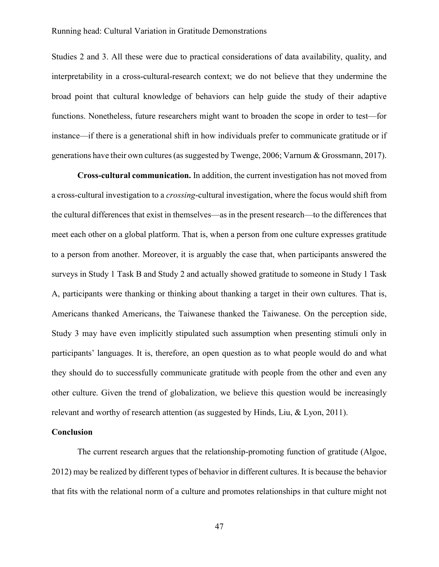Studies 2 and 3. All these were due to practical considerations of data availability, quality, and interpretability in a cross-cultural-research context; we do not believe that they undermine the broad point that cultural knowledge of behaviors can help guide the study of their adaptive functions. Nonetheless, future researchers might want to broaden the scope in order to test—for instance—if there is a generational shift in how individuals prefer to communicate gratitude or if generations have their own cultures (as suggested by Twenge, 2006; Varnum & Grossmann, 2017).

Cross-cultural communication. In addition, the current investigation has not moved from a cross-cultural investigation to a crossing-cultural investigation, where the focus would shift from the cultural differences that exist in themselves—as in the present research—to the differences that meet each other on a global platform. That is, when a person from one culture expresses gratitude to a person from another. Moreover, it is arguably the case that, when participants answered the surveys in Study 1 Task B and Study 2 and actually showed gratitude to someone in Study 1 Task A, participants were thanking or thinking about thanking a target in their own cultures. That is, Americans thanked Americans, the Taiwanese thanked the Taiwanese. On the perception side, Study 3 may have even implicitly stipulated such assumption when presenting stimuli only in participants' languages. It is, therefore, an open question as to what people would do and what they should do to successfully communicate gratitude with people from the other and even any other culture. Given the trend of globalization, we believe this question would be increasingly relevant and worthy of research attention (as suggested by Hinds, Liu, & Lyon, 2011).

### Conclusion

The current research argues that the relationship-promoting function of gratitude (Algoe, 2012) may be realized by different types of behavior in different cultures. It is because the behavior that fits with the relational norm of a culture and promotes relationships in that culture might not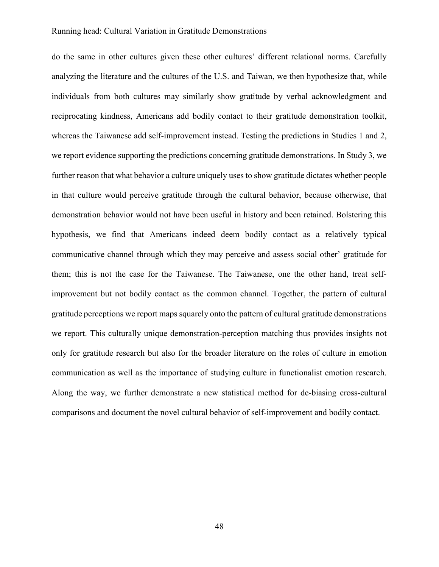do the same in other cultures given these other cultures' different relational norms. Carefully analyzing the literature and the cultures of the U.S. and Taiwan, we then hypothesize that, while individuals from both cultures may similarly show gratitude by verbal acknowledgment and reciprocating kindness, Americans add bodily contact to their gratitude demonstration toolkit, whereas the Taiwanese add self-improvement instead. Testing the predictions in Studies 1 and 2, we report evidence supporting the predictions concerning gratitude demonstrations. In Study 3, we further reason that what behavior a culture uniquely uses to show gratitude dictates whether people in that culture would perceive gratitude through the cultural behavior, because otherwise, that demonstration behavior would not have been useful in history and been retained. Bolstering this hypothesis, we find that Americans indeed deem bodily contact as a relatively typical communicative channel through which they may perceive and assess social other' gratitude for them; this is not the case for the Taiwanese. The Taiwanese, one the other hand, treat selfimprovement but not bodily contact as the common channel. Together, the pattern of cultural gratitude perceptions we report maps squarely onto the pattern of cultural gratitude demonstrations we report. This culturally unique demonstration-perception matching thus provides insights not only for gratitude research but also for the broader literature on the roles of culture in emotion communication as well as the importance of studying culture in functionalist emotion research. Along the way, we further demonstrate a new statistical method for de-biasing cross-cultural comparisons and document the novel cultural behavior of self-improvement and bodily contact.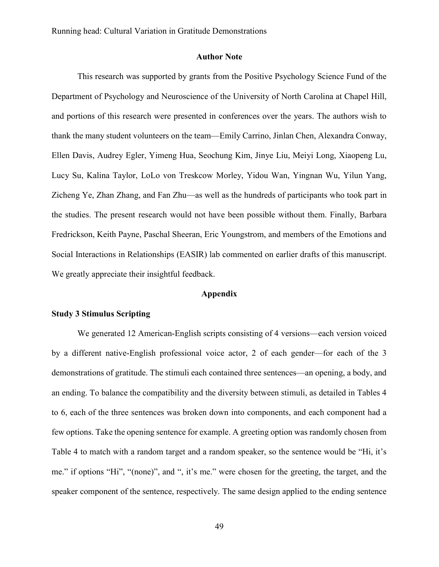### Author Note

This research was supported by grants from the Positive Psychology Science Fund of the Department of Psychology and Neuroscience of the University of North Carolina at Chapel Hill, and portions of this research were presented in conferences over the years. The authors wish to thank the many student volunteers on the team—Emily Carrino, Jinlan Chen, Alexandra Conway, Ellen Davis, Audrey Egler, Yimeng Hua, Seochung Kim, Jinye Liu, Meiyi Long, Xiaopeng Lu, Lucy Su, Kalina Taylor, LoLo von Treskcow Morley, Yidou Wan, Yingnan Wu, Yilun Yang, Zicheng Ye, Zhan Zhang, and Fan Zhu—as well as the hundreds of participants who took part in the studies. The present research would not have been possible without them. Finally, Barbara Fredrickson, Keith Payne, Paschal Sheeran, Eric Youngstrom, and members of the Emotions and Social Interactions in Relationships (EASIR) lab commented on earlier drafts of this manuscript. We greatly appreciate their insightful feedback.

#### Appendix

### Study 3 Stimulus Scripting

We generated 12 American-English scripts consisting of 4 versions—each version voiced by a different native-English professional voice actor, 2 of each gender—for each of the 3 demonstrations of gratitude. The stimuli each contained three sentences—an opening, a body, and an ending. To balance the compatibility and the diversity between stimuli, as detailed in Tables 4 to 6, each of the three sentences was broken down into components, and each component had a few options. Take the opening sentence for example. A greeting option was randomly chosen from Table 4 to match with a random target and a random speaker, so the sentence would be "Hi, it's me." if options "Hi", "(none)", and ", it's me." were chosen for the greeting, the target, and the speaker component of the sentence, respectively. The same design applied to the ending sentence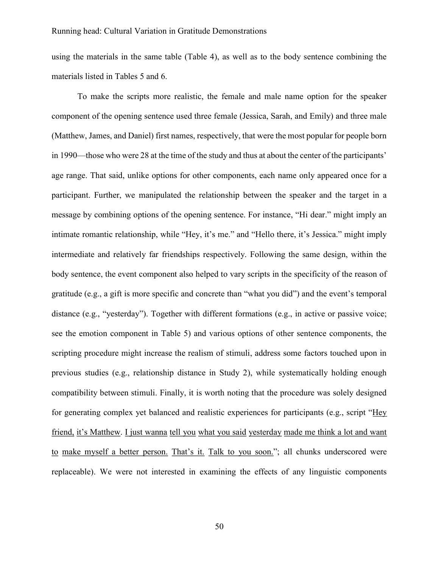using the materials in the same table (Table 4), as well as to the body sentence combining the materials listed in Tables 5 and 6.

To make the scripts more realistic, the female and male name option for the speaker component of the opening sentence used three female (Jessica, Sarah, and Emily) and three male (Matthew, James, and Daniel) first names, respectively, that were the most popular for people born in 1990—those who were 28 at the time of the study and thus at about the center of the participants' age range. That said, unlike options for other components, each name only appeared once for a participant. Further, we manipulated the relationship between the speaker and the target in a message by combining options of the opening sentence. For instance, "Hi dear." might imply an intimate romantic relationship, while "Hey, it's me." and "Hello there, it's Jessica." might imply intermediate and relatively far friendships respectively. Following the same design, within the body sentence, the event component also helped to vary scripts in the specificity of the reason of gratitude (e.g., a gift is more specific and concrete than "what you did") and the event's temporal distance (e.g., "yesterday"). Together with different formations (e.g., in active or passive voice; see the emotion component in Table 5) and various options of other sentence components, the scripting procedure might increase the realism of stimuli, address some factors touched upon in previous studies (e.g., relationship distance in Study 2), while systematically holding enough compatibility between stimuli. Finally, it is worth noting that the procedure was solely designed for generating complex yet balanced and realistic experiences for participants (e.g., script "Hey friend, it's Matthew. I just wanna tell you what you said yesterday made me think a lot and want to make myself a better person. That's it. Talk to you soon."; all chunks underscored were replaceable). We were not interested in examining the effects of any linguistic components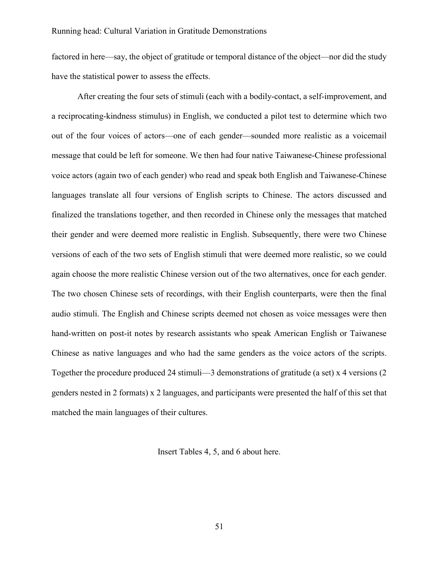factored in here—say, the object of gratitude or temporal distance of the object—nor did the study have the statistical power to assess the effects.

After creating the four sets of stimuli (each with a bodily-contact, a self-improvement, and a reciprocating-kindness stimulus) in English, we conducted a pilot test to determine which two out of the four voices of actors—one of each gender—sounded more realistic as a voicemail message that could be left for someone. We then had four native Taiwanese-Chinese professional voice actors (again two of each gender) who read and speak both English and Taiwanese-Chinese languages translate all four versions of English scripts to Chinese. The actors discussed and finalized the translations together, and then recorded in Chinese only the messages that matched their gender and were deemed more realistic in English. Subsequently, there were two Chinese versions of each of the two sets of English stimuli that were deemed more realistic, so we could again choose the more realistic Chinese version out of the two alternatives, once for each gender. The two chosen Chinese sets of recordings, with their English counterparts, were then the final audio stimuli. The English and Chinese scripts deemed not chosen as voice messages were then hand-written on post-it notes by research assistants who speak American English or Taiwanese Chinese as native languages and who had the same genders as the voice actors of the scripts. Together the procedure produced 24 stimuli—3 demonstrations of gratitude (a set) x 4 versions (2 genders nested in 2 formats) x 2 languages, and participants were presented the half of this set that matched the main languages of their cultures.

Insert Tables 4, 5, and 6 about here.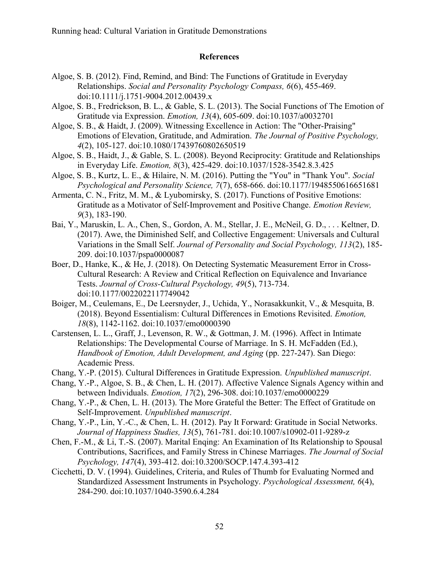### References

- Algoe, S. B. (2012). Find, Remind, and Bind: The Functions of Gratitude in Everyday Relationships. Social and Personality Psychology Compass, 6(6), 455-469. doi:10.1111/j.1751-9004.2012.00439.x
- Algoe, S. B., Fredrickson, B. L., & Gable, S. L. (2013). The Social Functions of The Emotion of Gratitude via Expression. Emotion, 13(4), 605-609. doi:10.1037/a0032701
- Algoe, S. B., & Haidt, J. (2009). Witnessing Excellence in Action: The "Other-Praising" Emotions of Elevation, Gratitude, and Admiration. The Journal of Positive Psychology, 4(2), 105-127. doi:10.1080/17439760802650519
- Algoe, S. B., Haidt, J., & Gable, S. L. (2008). Beyond Reciprocity: Gratitude and Relationships in Everyday Life. Emotion, 8(3), 425-429. doi:10.1037/1528-3542.8.3.425
- Algoe, S. B., Kurtz, L. E., & Hilaire, N. M. (2016). Putting the "You" in "Thank You". Social Psychological and Personality Science, 7(7), 658-666. doi:10.1177/1948550616651681
- Armenta, C. N., Fritz, M. M., & Lyubomirsky, S. (2017). Functions of Positive Emotions: Gratitude as a Motivator of Self-Improvement and Positive Change. Emotion Review, 9(3), 183-190.
- Bai, Y., Maruskin, L. A., Chen, S., Gordon, A. M., Stellar, J. E., McNeil, G. D., . . . Keltner, D. (2017). Awe, the Diminished Self, and Collective Engagement: Universals and Cultural Variations in the Small Self. Journal of Personality and Social Psychology, 113(2), 185- 209. doi:10.1037/pspa0000087
- Boer, D., Hanke, K., & He, J. (2018). On Detecting Systematic Measurement Error in Cross-Cultural Research: A Review and Critical Reflection on Equivalence and Invariance Tests. Journal of Cross-Cultural Psychology, 49(5), 713-734. doi:10.1177/0022022117749042
- Boiger, M., Ceulemans, E., De Leersnyder, J., Uchida, Y., Norasakkunkit, V., & Mesquita, B. (2018). Beyond Essentialism: Cultural Differences in Emotions Revisited. Emotion, 18(8), 1142-1162. doi:10.1037/emo0000390
- Carstensen, L. L., Graff, J., Levenson, R. W., & Gottman, J. M. (1996). Affect in Intimate Relationships: The Developmental Course of Marriage. In S. H. McFadden (Ed.), Handbook of Emotion, Adult Development, and Aging (pp. 227-247). San Diego: Academic Press.
- Chang, Y.-P. (2015). Cultural Differences in Gratitude Expression. Unpublished manuscript.
- Chang, Y.-P., Algoe, S. B., & Chen, L. H. (2017). Affective Valence Signals Agency within and between Individuals. Emotion, 17(2), 296-308. doi:10.1037/emo0000229
- Chang, Y.-P., & Chen, L. H. (2013). The More Grateful the Better: The Effect of Gratitude on Self-Improvement. Unpublished manuscript.
- Chang, Y.-P., Lin, Y.-C., & Chen, L. H. (2012). Pay It Forward: Gratitude in Social Networks. Journal of Happiness Studies, 13(5), 761-781. doi:10.1007/s10902-011-9289-z
- Chen, F.-M., & Li, T.-S. (2007). Marital Enqing: An Examination of Its Relationship to Spousal Contributions, Sacrifices, and Family Stress in Chinese Marriages. The Journal of Social Psychology, 147(4), 393-412. doi:10.3200/SOCP.147.4.393-412
- Cicchetti, D. V. (1994). Guidelines, Criteria, and Rules of Thumb for Evaluating Normed and Standardized Assessment Instruments in Psychology. Psychological Assessment, 6(4), 284-290. doi:10.1037/1040-3590.6.4.284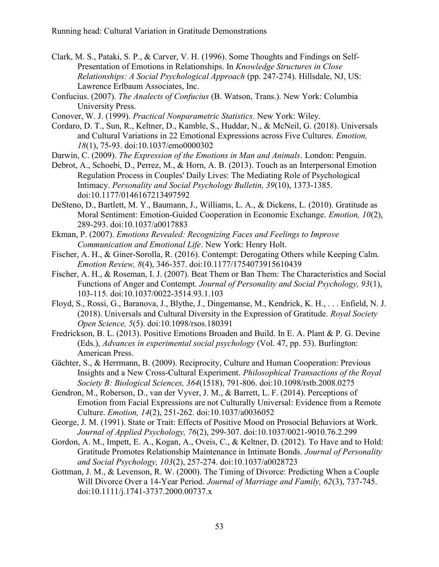- Clark, M. S., Pataki, S. P., & Carver, V. H. (1996). Some Thoughts and Findings on Self-Presentation of Emotions in Relationships. In Knowledge Structures in Close Relationships: A Social Psychological Approach (pp. 247-274). Hillsdale, NJ, US: Lawrence Erlbaum Associates, Inc.
- Confucius. (2007). The Analects of Confucius (B. Watson, Trans.). New York: Columbia University Press.
- Conover, W. J. (1999). Practical Nonparametric Statistics. New York: Wiley.

Cordaro, D. T., Sun, R., Keltner, D., Kamble, S., Huddar, N., & McNeil, G. (2018). Universals and Cultural Variations in 22 Emotional Expressions across Five Cultures. Emotion, 18(1), 75-93. doi:10.1037/emo0000302

Darwin, C. (2009). The Expression of the Emotions in Man and Animals. London: Penguin.

Debrot, A., Schoebi, D., Perrez, M., & Horn, A. B. (2013). Touch as an Interpersonal Emotion Regulation Process in Couples' Daily Lives: The Mediating Role of Psychological Intimacy. Personality and Social Psychology Bulletin, 39(10), 1373-1385. doi:10.1177/0146167213497592

- DeSteno, D., Bartlett, M. Y., Baumann, J., Williams, L. A., & Dickens, L. (2010). Gratitude as Moral Sentiment: Emotion-Guided Cooperation in Economic Exchange. Emotion, 10(2), 289-293. doi:10.1037/a0017883
- Ekman, P. (2007). Emotions Revealed: Recognizing Faces and Feelings to Improve Communication and Emotional Life. New York: Henry Holt.
- Fischer, A. H., & Giner-Sorolla, R. (2016). Contempt: Derogating Others while Keeping Calm. Emotion Review, 8(4), 346-357. doi:10.1177/1754073915610439
- Fischer, A. H., & Roseman, I. J. (2007). Beat Them or Ban Them: The Characteristics and Social Functions of Anger and Contempt. Journal of Personality and Social Psychology, 93(1), 103-115. doi:10.1037/0022-3514.93.1.103
- Floyd, S., Rossi, G., Baranova, J., Blythe, J., Dingemanse, M., Kendrick, K. H., . . . Enfield, N. J. (2018). Universals and Cultural Diversity in the Expression of Gratitude. Royal Society Open Science, 5(5). doi:10.1098/rsos.180391

Fredrickson, B. L. (2013). Positive Emotions Broaden and Build. In E. A. Plant & P. G. Devine (Eds.), Advances in experimental social psychology (Vol. 47, pp. 53). Burlington: American Press.

- Gächter, S., & Herrmann, B. (2009). Reciprocity, Culture and Human Cooperation: Previous Insights and a New Cross-Cultural Experiment. Philosophical Transactions of the Royal Society B: Biological Sciences, 364(1518), 791-806. doi:10.1098/rstb.2008.0275
- Gendron, M., Roberson, D., van der Vyver, J. M., & Barrett, L. F. (2014). Perceptions of Emotion from Facial Expressions are not Culturally Universal: Evidence from a Remote Culture. Emotion, 14(2), 251-262. doi:10.1037/a0036052

George, J. M. (1991). State or Trait: Effects of Positive Mood on Prosocial Behaviors at Work. Journal of Applied Psychology, 76(2), 299-307. doi:10.1037/0021-9010.76.2.299

- Gordon, A. M., Impett, E. A., Kogan, A., Oveis, C., & Keltner, D. (2012). To Have and to Hold: Gratitude Promotes Relationship Maintenance in Intimate Bonds. Journal of Personality and Social Psychology, 103(2), 257-274. doi:10.1037/a0028723
- Gottman, J. M., & Levenson, R. W. (2000). The Timing of Divorce: Predicting When a Couple Will Divorce Over a 14-Year Period. Journal of Marriage and Family, 62(3), 737-745. doi:10.1111/j.1741-3737.2000.00737.x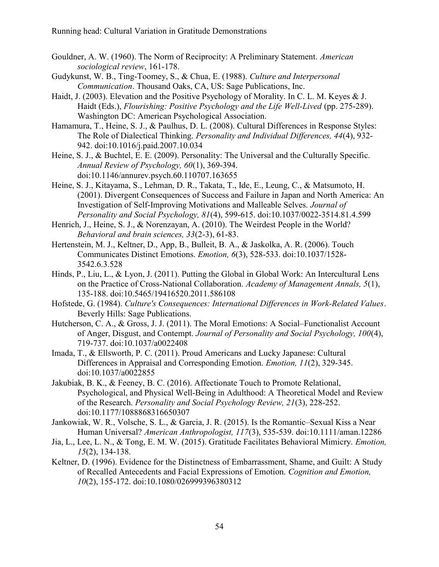- Gouldner, A. W. (1960). The Norm of Reciprocity: A Preliminary Statement. American sociological review, 161-178.
- Gudykunst, W. B., Ting-Toomey, S., & Chua, E. (1988). Culture and Interpersonal Communication. Thousand Oaks, CA, US: Sage Publications, Inc.
- Haidt, J. (2003). Elevation and the Positive Psychology of Morality. In C. L. M. Keyes & J. Haidt (Eds.), Flourishing: Positive Psychology and the Life Well-Lived (pp. 275-289). Washington DC: American Psychological Association.
- Hamamura, T., Heine, S. J., & Paulhus, D. L. (2008). Cultural Differences in Response Styles: The Role of Dialectical Thinking. Personality and Individual Differences, 44(4), 932- 942. doi:10.1016/j.paid.2007.10.034
- Heine, S. J., & Buchtel, E. E. (2009). Personality: The Universal and the Culturally Specific. Annual Review of Psychology, 60(1), 369-394. doi:10.1146/annurev.psych.60.110707.163655
- Heine, S. J., Kitayama, S., Lehman, D. R., Takata, T., Ide, E., Leung, C., & Matsumoto, H. (2001). Divergent Consequences of Success and Failure in Japan and North America: An Investigation of Self-Improving Motivations and Malleable Selves. Journal of Personality and Social Psychology, 81(4), 599-615. doi:10.1037/0022-3514.81.4.599
- Henrich, J., Heine, S. J., & Norenzayan, A. (2010). The Weirdest People in the World? Behavioral and brain sciences, 33(2-3), 61-83.
- Hertenstein, M. J., Keltner, D., App, B., Bulleit, B. A., & Jaskolka, A. R. (2006). Touch Communicates Distinct Emotions. Emotion, 6(3), 528-533. doi:10.1037/1528- 3542.6.3.528
- Hinds, P., Liu, L., & Lyon, J. (2011). Putting the Global in Global Work: An Intercultural Lens on the Practice of Cross-National Collaboration. Academy of Management Annals, 5(1), 135-188. doi:10.5465/19416520.2011.586108
- Hofstede, G. (1984). Culture's Consequences: International Differences in Work-Related Values. Beverly Hills: Sage Publications.
- Hutcherson, C. A., & Gross, J. J. (2011). The Moral Emotions: A Social–Functionalist Account of Anger, Disgust, and Contempt. Journal of Personality and Social Psychology, 100(4), 719-737. doi:10.1037/a0022408
- Imada, T., & Ellsworth, P. C. (2011). Proud Americans and Lucky Japanese: Cultural Differences in Appraisal and Corresponding Emotion. Emotion, 11(2), 329-345. doi:10.1037/a0022855
- Jakubiak, B. K., & Feeney, B. C. (2016). Affectionate Touch to Promote Relational, Psychological, and Physical Well-Being in Adulthood: A Theoretical Model and Review of the Research. Personality and Social Psychology Review, 21(3), 228-252. doi:10.1177/1088868316650307
- Jankowiak, W. R., Volsche, S. L., & Garcia, J. R. (2015). Is the Romantic–Sexual Kiss a Near Human Universal? American Anthropologist, 117(3), 535-539. doi:10.1111/aman.12286
- Jia, L., Lee, L. N., & Tong, E. M. W. (2015). Gratitude Facilitates Behavioral Mimicry. Emotion, 15(2), 134-138.
- Keltner, D. (1996). Evidence for the Distinctness of Embarrassment, Shame, and Guilt: A Study of Recalled Antecedents and Facial Expressions of Emotion. Cognition and Emotion, 10(2), 155-172. doi:10.1080/026999396380312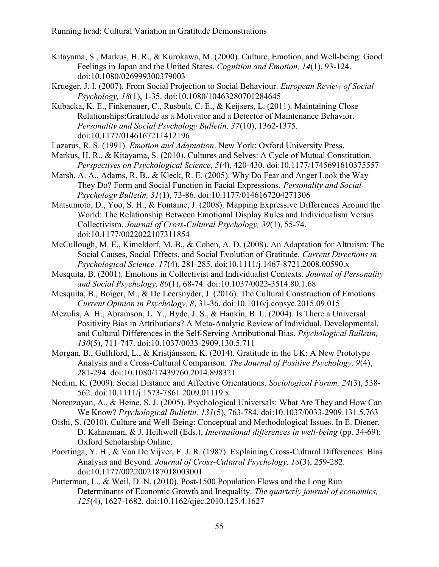- Kitayama, S., Markus, H. R., & Kurokawa, M. (2000). Culture, Emotion, and Well-being: Good Feelings in Japan and the United States. Cognition and Emotion, 14(1), 93-124. doi:10.1080/026999300379003
- Krueger, J. I. (2007). From Social Projection to Social Behaviour. European Review of Social Psychology, 18(1), 1-35. doi:10.1080/10463280701284645
- Kubacka, K. E., Finkenauer, C., Rusbult, C. E., & Keijsers, L. (2011). Maintaining Close Relationships:Gratitude as a Motivator and a Detector of Maintenance Behavior. Personality and Social Psychology Bulletin, 37(10), 1362-1375. doi:10.1177/0146167211412196
- Lazarus, R. S. (1991). Emotion and Adaptation. New York: Oxford University Press.
- Markus, H. R., & Kitayama, S. (2010). Cultures and Selves: A Cycle of Mutual Constitution. Perspectives on Psychological Science, 5(4), 420-430. doi:10.1177/1745691610375557
- Marsh, A. A., Adams, R. B., & Kleck, R. E. (2005). Why Do Fear and Anger Look the Way They Do? Form and Social Function in Facial Expressions. Personality and Social Psychology Bulletin, 31(1), 73-86. doi:10.1177/0146167204271306
- Matsumoto, D., Yoo, S. H., & Fontaine, J. (2008). Mapping Expressive Differences Around the World: The Relationship Between Emotional Display Rules and Individualism Versus Collectivism. Journal of Cross-Cultural Psychology, 39(1), 55-74. doi:10.1177/0022022107311854
- McCullough, M. E., Kimeldorf, M. B., & Cohen, A. D. (2008). An Adaptation for Altruism: The Social Causes, Social Effects, and Social Evolution of Gratitude. Current Directions in Psychological Science, 17(4), 281-285. doi:10.1111/j.1467-8721.2008.00590.x
- Mesquita, B. (2001). Emotions in Collectivist and Individualist Contexts. Journal of Personality and Social Psychology, 80(1), 68-74. doi:10.1037/0022-3514.80.1.68
- Mesquita, B., Boiger, M., & De Leersnyder, J. (2016). The Cultural Construction of Emotions. Current Opinion in Psychology, 8, 31-36. doi:10.1016/j.copsyc.2015.09.015
- Mezulis, A. H., Abramson, L. Y., Hyde, J. S., & Hankin, B. L. (2004). Is There a Universal Positivity Bias in Attributions? A Meta-Analytic Review of Individual, Developmental, and Cultural Differences in the Self-Serving Attributional Bias. Psychological Bulletin, 130(5), 711-747. doi:10.1037/0033-2909.130.5.711
- Morgan, B., Gulliford, L., & Kristjánsson, K. (2014). Gratitude in the UK: A New Prototype Analysis and a Cross-Cultural Comparison. The Journal of Positive Psychology, 9(4), 281-294. doi:10.1080/17439760.2014.898321
- Nedim, K. (2009). Social Distance and Affective Orientations. Sociological Forum, 24(3), 538- 562. doi:10.1111/j.1573-7861.2009.01119.x
- Norenzayan, A., & Heine, S. J. (2005). Psychological Universals: What Are They and How Can We Know? Psychological Bulletin, 131(5), 763-784. doi:10.1037/0033-2909.131.5.763
- Oishi, S. (2010). Culture and Well-Being: Conceptual and Methodological Issues. In E. Diener, D. Kahneman, & J. Helliwell (Eds.), *International differences in well-being* (pp. 34-69): Oxford Scholarship Online.
- Poortinga, Y. H., & Van De Vijver, F. J. R. (1987). Explaining Cross-Cultural Differences: Bias Analysis and Beyond. Journal of Cross-Cultural Psychology, 18(3), 259-282. doi:10.1177/0022002187018003001
- Putterman, L., & Weil, D. N. (2010). Post-1500 Population Flows and the Long Run Determinants of Economic Growth and Inequality. The quarterly journal of economics, 125(4), 1627-1682. doi:10.1162/qjec.2010.125.4.1627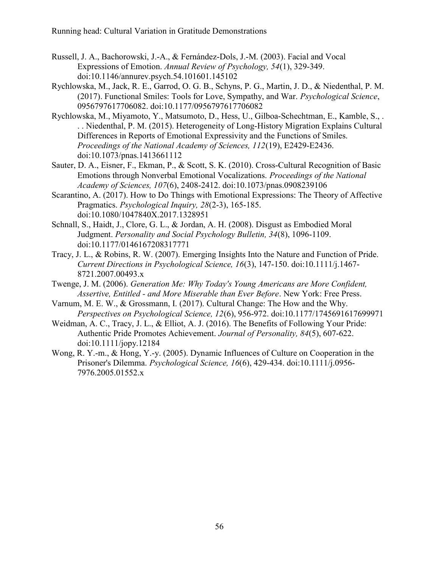- Russell, J. A., Bachorowski, J.-A., & Fernández-Dols, J.-M. (2003). Facial and Vocal Expressions of Emotion. Annual Review of Psychology, 54(1), 329-349. doi:10.1146/annurev.psych.54.101601.145102
- Rychlowska, M., Jack, R. E., Garrod, O. G. B., Schyns, P. G., Martin, J. D., & Niedenthal, P. M. (2017). Functional Smiles: Tools for Love, Sympathy, and War. Psychological Science, 0956797617706082. doi:10.1177/0956797617706082
- Rychlowska, M., Miyamoto, Y., Matsumoto, D., Hess, U., Gilboa-Schechtman, E., Kamble, S., . . . Niedenthal, P. M. (2015). Heterogeneity of Long-History Migration Explains Cultural Differences in Reports of Emotional Expressivity and the Functions of Smiles. Proceedings of the National Academy of Sciences, 112(19), E2429-E2436. doi:10.1073/pnas.1413661112
- Sauter, D. A., Eisner, F., Ekman, P., & Scott, S. K. (2010). Cross-Cultural Recognition of Basic Emotions through Nonverbal Emotional Vocalizations. Proceedings of the National Academy of Sciences, 107(6), 2408-2412. doi:10.1073/pnas.0908239106
- Scarantino, A. (2017). How to Do Things with Emotional Expressions: The Theory of Affective Pragmatics. Psychological Inquiry, 28(2-3), 165-185. doi:10.1080/1047840X.2017.1328951
- Schnall, S., Haidt, J., Clore, G. L., & Jordan, A. H. (2008). Disgust as Embodied Moral Judgment. Personality and Social Psychology Bulletin, 34(8), 1096-1109. doi:10.1177/0146167208317771
- Tracy, J. L., & Robins, R. W. (2007). Emerging Insights Into the Nature and Function of Pride. Current Directions in Psychological Science, 16(3), 147-150. doi:10.1111/j.1467- 8721.2007.00493.x
- Twenge, J. M. (2006). Generation Me: Why Today's Young Americans are More Confident, Assertive, Entitled - and More Miserable than Ever Before. New York: Free Press.
- Varnum, M. E. W., & Grossmann, I. (2017). Cultural Change: The How and the Why. Perspectives on Psychological Science, 12(6), 956-972. doi:10.1177/1745691617699971
- Weidman, A. C., Tracy, J. L., & Elliot, A. J. (2016). The Benefits of Following Your Pride: Authentic Pride Promotes Achievement. Journal of Personality, 84(5), 607-622. doi:10.1111/jopy.12184
- Wong, R. Y.-m., & Hong, Y.-y. (2005). Dynamic Influences of Culture on Cooperation in the Prisoner's Dilemma. Psychological Science, 16(6), 429-434. doi:10.1111/j.0956-7976.2005.01552.x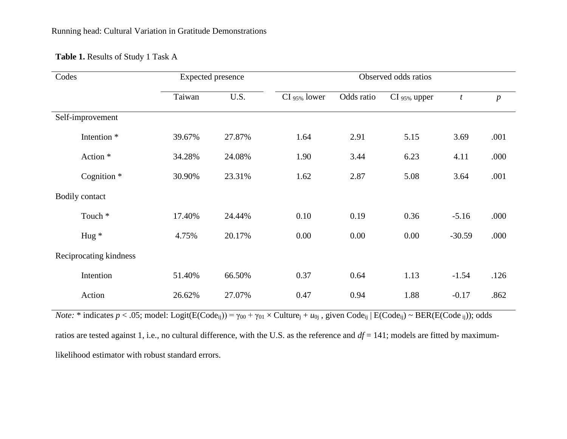# **Table 1.** Results of Study 1 Task A

| Codes          |                        | <b>Expected presence</b> |        | Observed odds ratios |            |              |                  |                  |  |
|----------------|------------------------|--------------------------|--------|----------------------|------------|--------------|------------------|------------------|--|
|                |                        | Taiwan                   | U.S.   | CI 95% lower         | Odds ratio | CI 95% upper | $\boldsymbol{t}$ | $\boldsymbol{p}$ |  |
|                | Self-improvement       |                          |        |                      |            |              |                  |                  |  |
|                | Intention <sup>*</sup> | 39.67%                   | 27.87% | 1.64                 | 2.91       | 5.15         | 3.69             | .001             |  |
|                | Action *               | 34.28%                   | 24.08% | 1.90                 | 3.44       | 6.23         | 4.11             | .000             |  |
|                | Cognition <sup>*</sup> | 30.90%                   | 23.31% | 1.62                 | 2.87       | 5.08         | 3.64             | .001             |  |
| Bodily contact |                        |                          |        |                      |            |              |                  |                  |  |
|                | Touch <sup>*</sup>     | 17.40%                   | 24.44% | 0.10                 | 0.19       | 0.36         | $-5.16$          | .000             |  |
|                | Hug $*$                | 4.75%                    | 20.17% | 0.00                 | 0.00       | 0.00         | $-30.59$         | .000             |  |
|                | Reciprocating kindness |                          |        |                      |            |              |                  |                  |  |
|                | Intention              | 51.40%                   | 66.50% | 0.37                 | 0.64       | 1.13         | $-1.54$          | .126             |  |
|                | Action                 | 26.62%                   | 27.07% | 0.47                 | 0.94       | 1.88         | $-0.17$          | .862             |  |

*Note*: \* indicates  $p < .05$ ; model: Logit(E(Code<sub>ij</sub>)) =  $\gamma_{00} + \gamma_{01} \times$  Culture<sub>j</sub> +  $u_{0j}$ , given Code<sub>ij</sub> | E(Code<sub>ij</sub>)  $\sim$  BER(E(Code<sub>ij</sub>)); odds

ratios are tested against 1, i.e., no cultural difference, with the U.S. as the reference and *df* = 141; models are fitted by maximumlikelihood estimator with robust standard errors.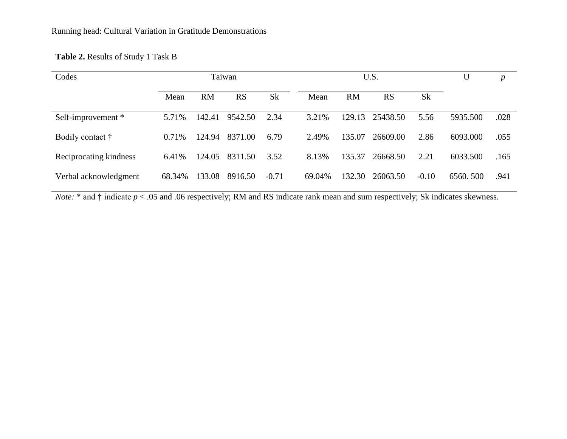# **Table 2.** Results of Study 1 Task B

| Codes                  | Taiwan |           |           | U.S.      |        |           |           | $\boldsymbol{p}$ |          |      |
|------------------------|--------|-----------|-----------|-----------|--------|-----------|-----------|------------------|----------|------|
|                        | Mean   | <b>RM</b> | <b>RS</b> | <b>Sk</b> | Mean   | <b>RM</b> | <b>RS</b> | <b>Sk</b>        |          |      |
| Self-improvement *     | 5.71%  | 142.41    | 9542.50   | 2.34      | 3.21%  | 129.13    | 25438.50  | 5.56             | 5935.500 | .028 |
| Bodily contact †       | 0.71%  | 124.94    | 8371.00   | 6.79      | 2.49%  | 135.07    | 26609.00  | 2.86             | 6093.000 | .055 |
| Reciprocating kindness | 6.41%  | 124.05    | 8311.50   | 3.52      | 8.13%  | 135.37    | 26668.50  | 2.21             | 6033.500 | .165 |
| Verbal acknowledgment  | 68.34% | 133.08    | 8916.50   | $-0.71$   | 69.04% | 132.30    | 26063.50  | $-0.10$          | 6560.500 | .941 |

*Note:* \* and † indicate  $p < .05$  and .06 respectively; RM and RS indicate rank mean and sum respectively; Sk indicates skewness.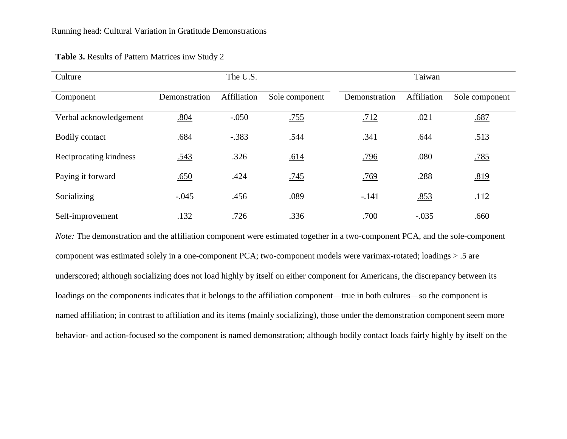| Culture                |               | The U.S.    |                |               | Taiwan      |                |
|------------------------|---------------|-------------|----------------|---------------|-------------|----------------|
| Component              | Demonstration | Affiliation | Sole component | Demonstration | Affiliation | Sole component |
| Verbal acknowledgement | .804          | $-.050$     | .755           | .712          | .021        | .687           |
| Bodily contact         | .684          | $-.383$     | .544           | .341          | .644        | .513           |
| Reciprocating kindness | .543          | .326        | .614           | .796          | .080        | .785           |
| Paying it forward      | .650          | .424        | .745           | .769          | .288        | .819           |
| Socializing            | $-.045$       | .456        | .089           | $-.141$       | .853        | .112           |
| Self-improvement       | .132          | .726        | .336           | .700          | $-.035$     | .660           |

### **Table 3.** Results of Pattern Matrices inw Study 2

*Note:* The demonstration and the affiliation component were estimated together in a two-component PCA, and the sole-component component was estimated solely in a one-component PCA; two-component models were varimax-rotated; loadings > .5 are underscored; although socializing does not load highly by itself on either component for Americans, the discrepancy between its loadings on the components indicates that it belongs to the affiliation component—true in both cultures—so the component is named affiliation; in contrast to affiliation and its items (mainly socializing), those under the demonstration component seem more behavior- and action-focused so the component is named demonstration; although bodily contact loads fairly highly by itself on the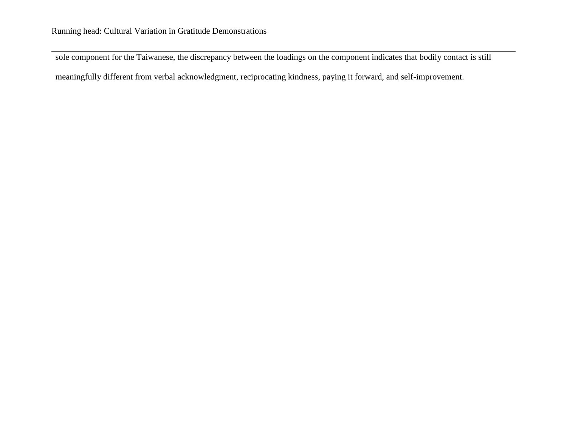sole component for the Taiwanese, the discrepancy between the loadings on the component indicates that bodily contact is still

meaningfully different from verbal acknowledgment, reciprocating kindness, paying it forward, and self-improvement.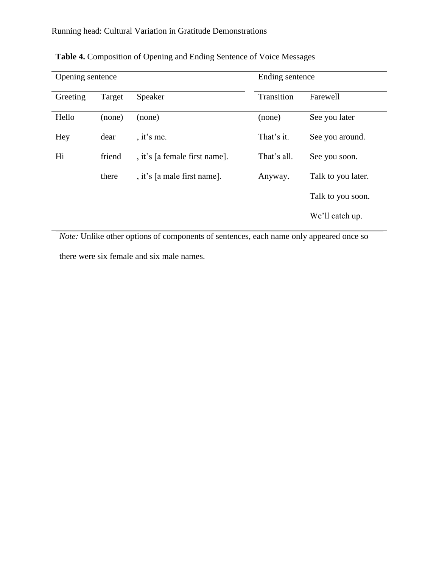| Opening sentence |        |                               | Ending sentence |                    |  |
|------------------|--------|-------------------------------|-----------------|--------------------|--|
| Greeting         | Target | Speaker                       | Transition      | Farewell           |  |
| Hello            | (none) | (none)                        | (none)          | See you later      |  |
| Hey              | dear   | , it's me.                    | That's it.      | See you around.    |  |
| Hi               | friend | , it's [a female first name]. | That's all.     | See you soon.      |  |
|                  | there  | , it's [a male first name].   | Anyway.         | Talk to you later. |  |
|                  |        |                               |                 | Talk to you soon.  |  |
|                  |        |                               |                 | We'll catch up.    |  |

**Table 4.** Composition of Opening and Ending Sentence of Voice Messages

*Note:* Unlike other options of components of sentences, each name only appeared once so there were six female and six male names.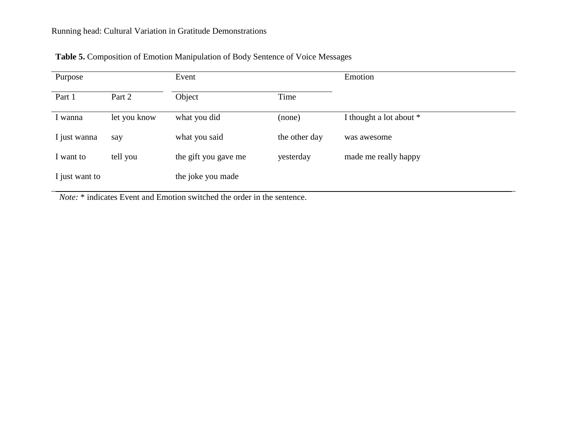| Purpose        |              | Event                |               | Emotion                 |
|----------------|--------------|----------------------|---------------|-------------------------|
| Part 1         | Part 2       | Object               | Time          |                         |
| I wanna        | let you know | what you did         | (none)        | I thought a lot about * |
| I just wanna   | say          | what you said        | the other day | was awesome             |
| I want to      | tell you     | the gift you gave me | yesterday     | made me really happy    |
| I just want to |              | the joke you made    |               |                         |

|  |  | Table 5. Composition of Emotion Manipulation of Body Sentence of Voice Messages |
|--|--|---------------------------------------------------------------------------------|
|  |  |                                                                                 |

*Note:* \* indicates Event and Emotion switched the order in the sentence.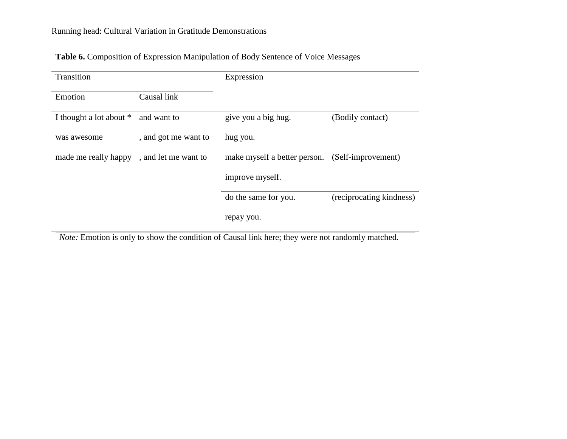| Transition              |                      | Expression                   |                          |
|-------------------------|----------------------|------------------------------|--------------------------|
| Emotion                 | Causal link          |                              |                          |
| I thought a lot about * | and want to          | give you a big hug.          | (Bodily contact)         |
| was awesome             | , and got me want to | hug you.                     |                          |
| made me really happy    | , and let me want to | make myself a better person. | (Self-improvement)       |
|                         |                      | improve myself.              |                          |
|                         |                      | do the same for you.         | (reciprocating kindness) |
|                         |                      | repay you.                   |                          |

**Table 6.** Composition of Expression Manipulation of Body Sentence of Voice Messages

*Note:* Emotion is only to show the condition of Causal link here; they were not randomly matched.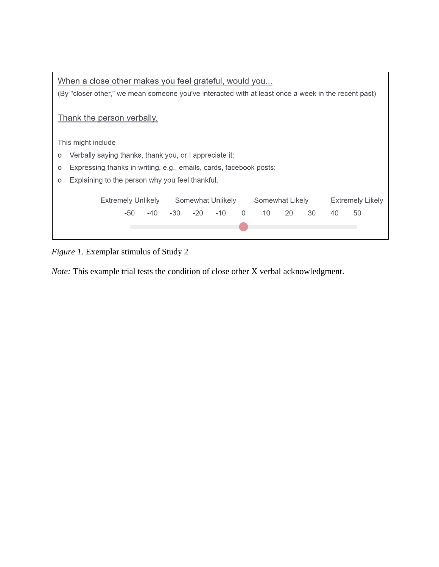| When a close other makes you feel grateful, would you                                               |  |  |  |  |  |  |
|-----------------------------------------------------------------------------------------------------|--|--|--|--|--|--|
| (By "closer other," we mean someone you've interacted with at least once a week in the recent past) |  |  |  |  |  |  |
|                                                                                                     |  |  |  |  |  |  |
| Thank the person verbally.                                                                          |  |  |  |  |  |  |
|                                                                                                     |  |  |  |  |  |  |
| This might include                                                                                  |  |  |  |  |  |  |
| Verbally saying thanks, thank you, or I appreciate it;<br>O                                         |  |  |  |  |  |  |
| Expressing thanks in writing, e.g., emails, cards, facebook posts;<br>$\circ$                       |  |  |  |  |  |  |
| Explaining to the person why you feel thankful.<br>O                                                |  |  |  |  |  |  |
|                                                                                                     |  |  |  |  |  |  |
| Extremely Unlikely<br>Somewhat Unlikely<br>Somewhat Likely<br><b>Extremely Likely</b>               |  |  |  |  |  |  |
| $-40$<br>10<br>50<br>-30<br>$-20$<br>$-10$<br>20<br>30<br>-50<br>$\Omega$<br>40                     |  |  |  |  |  |  |
|                                                                                                     |  |  |  |  |  |  |
|                                                                                                     |  |  |  |  |  |  |

# *Figure 1.* Exemplar stimulus of Study 2

*Note:* This example trial tests the condition of close other X verbal acknowledgment.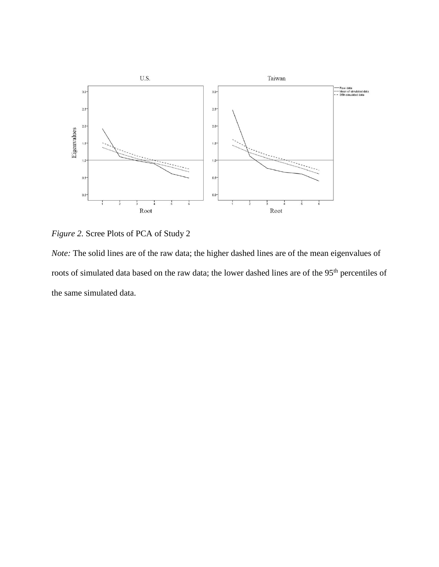

*Figure 2.* Scree Plots of PCA of Study 2

*Note:* The solid lines are of the raw data; the higher dashed lines are of the mean eigenvalues of roots of simulated data based on the raw data; the lower dashed lines are of the 95<sup>th</sup> percentiles of the same simulated data.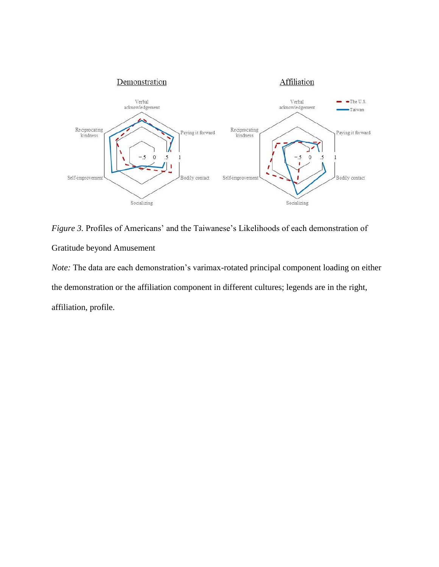

*Figure 3.* Profiles of Americans' and the Taiwanese's Likelihoods of each demonstration of Gratitude beyond Amusement

*Note:* The data are each demonstration's varimax-rotated principal component loading on either the demonstration or the affiliation component in different cultures; legends are in the right, affiliation, profile.